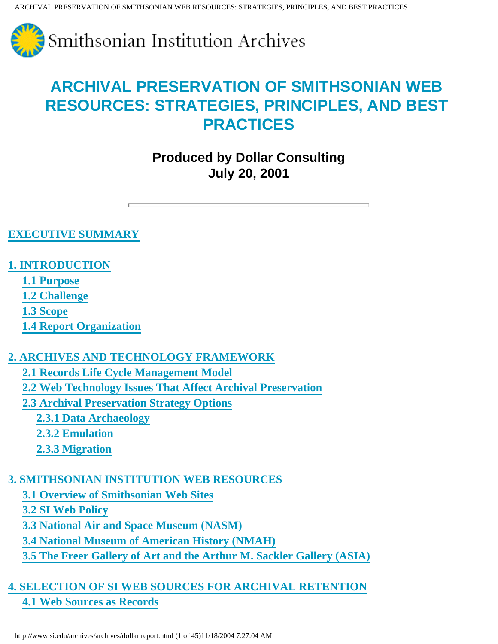

## **Produced by Dollar Consulting July 20, 2001**

#### **[EXECUTIVE SUMMARY](#page-4-0)**

### **[1. INTRODUCTION](#page-4-1)**

- **[1.1 Purpose](#page-5-0)**
- **[1.2 Challenge](#page-5-1)**
- **[1.3 Scope](#page-5-2)**
- **[1.4 Report Organization](#page-6-0)**

## **[2. ARCHIVES AND TECHNOLOGY FRAMEWORK](#page-6-1)**

- **[2.1 Records Life Cycle Management Model](#page-6-2)**
- **[2.2 Web Technology Issues That Affect Archival Preservation](#page-8-0)**
- **[2.3 Archival Preservation Strategy Options](#page-14-0)**
	- **[2.3.1 Data Archaeology](#page-14-1)**
	- **[2.3.2 Emulation](#page-15-0)**
	- **[2.3.3 Migration](#page-15-1)**

## **[3. SMITHSONIAN INSTITUTION WEB RESOURCES](#page-16-0)**

- **[3.1 Overview of Smithsonian Web Sites](#page-16-1)**
- **[3.2 SI Web Policy](#page-17-0)**
- **[3.3 National Air and Space Museum \(NASM\)](#page-19-0)**
- **[3.4 National Museum of American History \(NMAH\)](#page-20-0)**
- **[3.5 The Freer Gallery of Art and the Arthur M. Sackler Gallery \(ASIA\)](#page-22-0)**

## **[4. SELECTION OF SI WEB SOURCES FOR ARCHIVAL RETENTION](#page-22-1) [4.1 Web Sources as Records](#page-22-2)**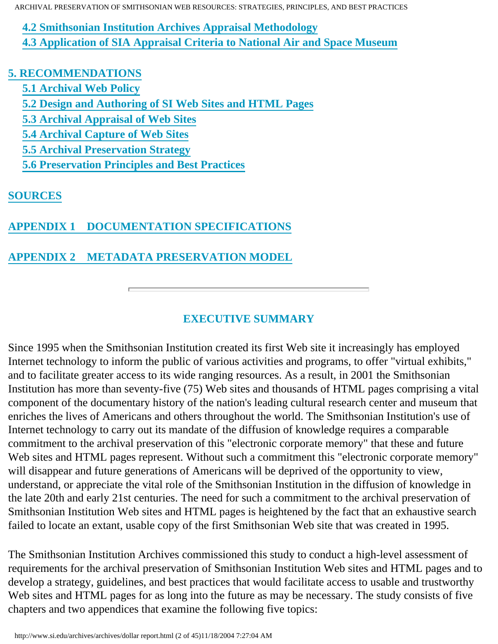**[4.2 Smithsonian Institution Archives Appraisal Methodology](#page-23-0)**

 **[4.3 Application of SIA Appraisal Criteria to National Air and Space Museum](#page-25-0)**

## **[5. RECOMMENDATIONS](#page-25-1)**

- **[5.1 Archival Web Policy](#page-26-0)**
- **[5.2 Design and Authoring of SI Web Sites and HTML Pages](#page-27-0)**
- **[5.3 Archival Appraisal of Web Sites](#page-28-0)**
- **[5.4 Archival Capture of Web Sites](#page-28-1)**
- **[5.5 Archival Preservation Strategy](#page-31-0)**
- **[5.6 Preservation Principles and Best Practices](#page-31-1)**

## **[SOURCES](#page-38-0)**

## **[APPENDIX 1 DOCUMENTATION SPECIFICATIONS](#page-41-0)**

## **[APPENDIX 2 METADATA PRESERVATION MODEL](#page-44-0)**

## **EXECUTIVE SUMMARY**

Since 1995 when the Smithsonian Institution created its first Web site it increasingly has employed Internet technology to inform the public of various activities and programs, to offer "virtual exhibits," and to facilitate greater access to its wide ranging resources. As a result, in 2001 the Smithsonian Institution has more than seventy-five (75) Web sites and thousands of HTML pages comprising a vital component of the documentary history of the nation's leading cultural research center and museum that enriches the lives of Americans and others throughout the world. The Smithsonian Institution's use of Internet technology to carry out its mandate of the diffusion of knowledge requires a comparable commitment to the archival preservation of this "electronic corporate memory" that these and future Web sites and HTML pages represent. Without such a commitment this "electronic corporate memory" will disappear and future generations of Americans will be deprived of the opportunity to view, understand, or appreciate the vital role of the Smithsonian Institution in the diffusion of knowledge in the late 20th and early 21st centuries. The need for such a commitment to the archival preservation of Smithsonian Institution Web sites and HTML pages is heightened by the fact that an exhaustive search failed to locate an extant, usable copy of the first Smithsonian Web site that was created in 1995.

The Smithsonian Institution Archives commissioned this study to conduct a high-level assessment of requirements for the archival preservation of Smithsonian Institution Web sites and HTML pages and to develop a strategy, guidelines, and best practices that would facilitate access to usable and trustworthy Web sites and HTML pages for as long into the future as may be necessary. The study consists of five chapters and two appendices that examine the following five topics: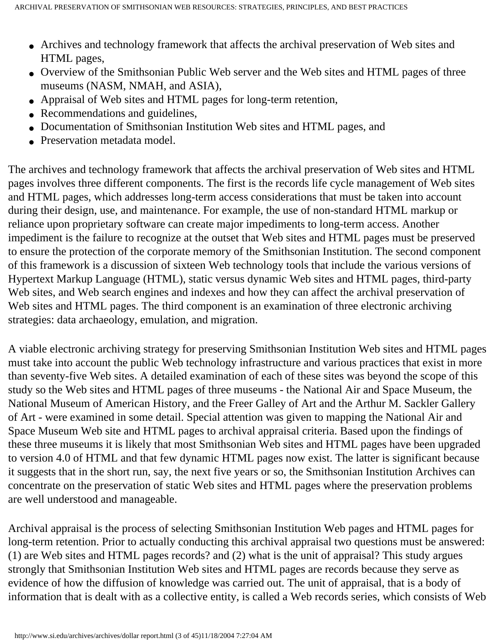- Archives and technology framework that affects the archival preservation of Web sites and HTML pages,
- Overview of the Smithsonian Public Web server and the Web sites and HTML pages of three museums (NASM, NMAH, and ASIA),
- Appraisal of Web sites and HTML pages for long-term retention,
- Recommendations and guidelines,
- Documentation of Smithsonian Institution Web sites and HTML pages, and
- Preservation metadata model.

The archives and technology framework that affects the archival preservation of Web sites and HTML pages involves three different components. The first is the records life cycle management of Web sites and HTML pages, which addresses long-term access considerations that must be taken into account during their design, use, and maintenance. For example, the use of non-standard HTML markup or reliance upon proprietary software can create major impediments to long-term access. Another impediment is the failure to recognize at the outset that Web sites and HTML pages must be preserved to ensure the protection of the corporate memory of the Smithsonian Institution. The second component of this framework is a discussion of sixteen Web technology tools that include the various versions of Hypertext Markup Language (HTML), static versus dynamic Web sites and HTML pages, third-party Web sites, and Web search engines and indexes and how they can affect the archival preservation of Web sites and HTML pages. The third component is an examination of three electronic archiving strategies: data archaeology, emulation, and migration.

A viable electronic archiving strategy for preserving Smithsonian Institution Web sites and HTML pages must take into account the public Web technology infrastructure and various practices that exist in more than seventy-five Web sites. A detailed examination of each of these sites was beyond the scope of this study so the Web sites and HTML pages of three museums - the National Air and Space Museum, the National Museum of American History, and the Freer Galley of Art and the Arthur M. Sackler Gallery of Art - were examined in some detail. Special attention was given to mapping the National Air and Space Museum Web site and HTML pages to archival appraisal criteria. Based upon the findings of these three museums it is likely that most Smithsonian Web sites and HTML pages have been upgraded to version 4.0 of HTML and that few dynamic HTML pages now exist. The latter is significant because it suggests that in the short run, say, the next five years or so, the Smithsonian Institution Archives can concentrate on the preservation of static Web sites and HTML pages where the preservation problems are well understood and manageable.

Archival appraisal is the process of selecting Smithsonian Institution Web pages and HTML pages for long-term retention. Prior to actually conducting this archival appraisal two questions must be answered: (1) are Web sites and HTML pages records? and (2) what is the unit of appraisal? This study argues strongly that Smithsonian Institution Web sites and HTML pages are records because they serve as evidence of how the diffusion of knowledge was carried out. The unit of appraisal, that is a body of information that is dealt with as a collective entity, is called a Web records series, which consists of Web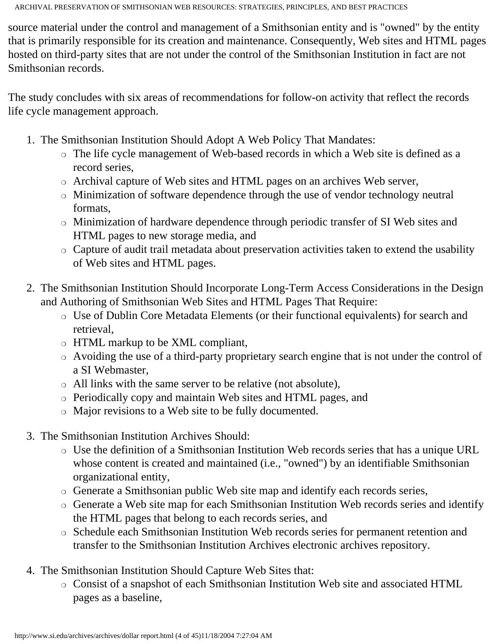source material under the control and management of a Smithsonian entity and is "owned" by the entity that is primarily responsible for its creation and maintenance. Consequently, Web sites and HTML pages hosted on third-party sites that are not under the control of the Smithsonian Institution in fact are not Smithsonian records.

The study concludes with six areas of recommendations for follow-on activity that reflect the records life cycle management approach.

- 1. The Smithsonian Institution Should Adopt A Web Policy That Mandates:
	- ❍ The life cycle management of Web-based records in which a Web site is defined as a record series,
	- ❍ Archival capture of Web sites and HTML pages on an archives Web server,
	- ❍ Minimization of software dependence through the use of vendor technology neutral formats,
	- ❍ Minimization of hardware dependence through periodic transfer of SI Web sites and HTML pages to new storage media, and
	- ❍ Capture of audit trail metadata about preservation activities taken to extend the usability of Web sites and HTML pages.
- 2. The Smithsonian Institution Should Incorporate Long-Term Access Considerations in the Design and Authoring of Smithsonian Web Sites and HTML Pages That Require:
	- ❍ Use of Dublin Core Metadata Elements (or their functional equivalents) for search and retrieval,
	- ❍ HTML markup to be XML compliant,
	- ❍ Avoiding the use of a third-party proprietary search engine that is not under the control of a SI Webmaster,
	- ❍ All links with the same server to be relative (not absolute),
	- ❍ Periodically copy and maintain Web sites and HTML pages, and
	- ❍ Major revisions to a Web site to be fully documented.
- 3. The Smithsonian Institution Archives Should:
	- ❍ Use the definition of a Smithsonian Institution Web records series that has a unique URL whose content is created and maintained (i.e., "owned") by an identifiable Smithsonian organizational entity,
	- ❍ Generate a Smithsonian public Web site map and identify each records series,
	- ❍ Generate a Web site map for each Smithsonian Institution Web records series and identify the HTML pages that belong to each records series, and
	- ❍ Schedule each Smithsonian Institution Web records series for permanent retention and transfer to the Smithsonian Institution Archives electronic archives repository.
- 4. The Smithsonian Institution Should Capture Web Sites that:
	- ❍ Consist of a snapshot of each Smithsonian Institution Web site and associated HTML pages as a baseline,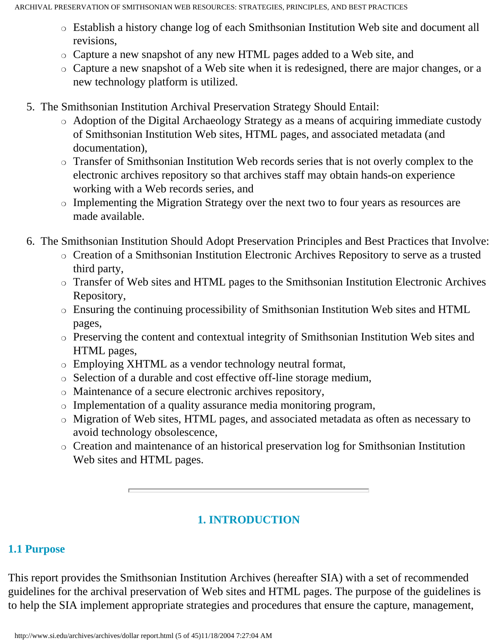- ❍ Establish a history change log of each Smithsonian Institution Web site and document all revisions,
- ❍ Capture a new snapshot of any new HTML pages added to a Web site, and
- ❍ Capture a new snapshot of a Web site when it is redesigned, there are major changes, or a new technology platform is utilized.
- 5. The Smithsonian Institution Archival Preservation Strategy Should Entail:
	- ❍ Adoption of the Digital Archaeology Strategy as a means of acquiring immediate custody of Smithsonian Institution Web sites, HTML pages, and associated metadata (and documentation),
	- ❍ Transfer of Smithsonian Institution Web records series that is not overly complex to the electronic archives repository so that archives staff may obtain hands-on experience working with a Web records series, and
	- ❍ Implementing the Migration Strategy over the next two to four years as resources are made available.
- 6. The Smithsonian Institution Should Adopt Preservation Principles and Best Practices that Involve:
	- ❍ Creation of a Smithsonian Institution Electronic Archives Repository to serve as a trusted third party,
	- ❍ Transfer of Web sites and HTML pages to the Smithsonian Institution Electronic Archives Repository,
	- ❍ Ensuring the continuing processibility of Smithsonian Institution Web sites and HTML pages,
	- ❍ Preserving the content and contextual integrity of Smithsonian Institution Web sites and HTML pages,
	- ❍ Employing XHTML as a vendor technology neutral format,
	- ❍ Selection of a durable and cost effective off-line storage medium,
	- ❍ Maintenance of a secure electronic archives repository,
	- ❍ Implementation of a quality assurance media monitoring program,
	- ❍ Migration of Web sites, HTML pages, and associated metadata as often as necessary to avoid technology obsolescence,
	- ❍ Creation and maintenance of an historical preservation log for Smithsonian Institution Web sites and HTML pages.

## **1. INTRODUCTION**

#### <span id="page-4-1"></span><span id="page-4-0"></span>**1.1 Purpose**

This report provides the Smithsonian Institution Archives (hereafter SIA) with a set of recommended guidelines for the archival preservation of Web sites and HTML pages. The purpose of the guidelines is to help the SIA implement appropriate strategies and procedures that ensure the capture, management,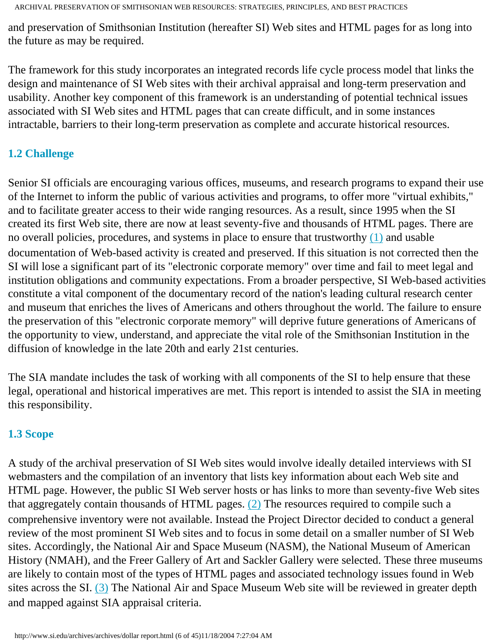and preservation of Smithsonian Institution (hereafter SI) Web sites and HTML pages for as long into the future as may be required.

The framework for this study incorporates an integrated records life cycle process model that links the design and maintenance of SI Web sites with their archival appraisal and long-term preservation and usability. Another key component of this framework is an understanding of potential technical issues associated with SI Web sites and HTML pages that can create difficult, and in some instances intractable, barriers to their long-term preservation as complete and accurate historical resources.

## <span id="page-5-1"></span><span id="page-5-0"></span>**1.2 Challenge**

Senior SI officials are encouraging various offices, museums, and research programs to expand their use of the Internet to inform the public of various activities and programs, to offer more "virtual exhibits," and to facilitate greater access to their wide ranging resources. As a result, since 1995 when the SI created its first Web site, there are now at least seventy-five and thousands of HTML pages. There are no overall policies, procedures, and systems in place to ensure that trustworthy [\(1\)](#page-45-0) and usable documentation of Web-based activity is created and preserved. If this situation is not corrected then the SI will lose a significant part of its "electronic corporate memory" over time and fail to meet legal and institution obligations and community expectations. From a broader perspective, SI Web-based activities constitute a vital component of the documentary record of the nation's leading cultural research center and museum that enriches the lives of Americans and others throughout the world. The failure to ensure the preservation of this "electronic corporate memory" will deprive future generations of Americans of the opportunity to view, understand, and appreciate the vital role of the Smithsonian Institution in the diffusion of knowledge in the late 20th and early 21st centuries.

The SIA mandate includes the task of working with all components of the SI to help ensure that these legal, operational and historical imperatives are met. This report is intended to assist the SIA in meeting this responsibility.

## <span id="page-5-2"></span>**1.3 Scope**

A study of the archival preservation of SI Web sites would involve ideally detailed interviews with SI webmasters and the compilation of an inventory that lists key information about each Web site and HTML page. However, the public SI Web server hosts or has links to more than seventy-five Web sites that aggregately contain thousands of HTML pages.  $(2)$  The resources required to compile such a comprehensive inventory were not available. Instead the Project Director decided to conduct a general review of the most prominent SI Web sites and to focus in some detail on a smaller number of SI Web sites. Accordingly, the National Air and Space Museum (NASM), the National Museum of American History (NMAH), and the Freer Gallery of Art and Sackler Gallery were selected. These three museums are likely to contain most of the types of HTML pages and associated technology issues found in Web sites across the SI. [\(3\)](#page-45-2) The National Air and Space Museum Web site will be reviewed in greater depth and mapped against SIA appraisal criteria.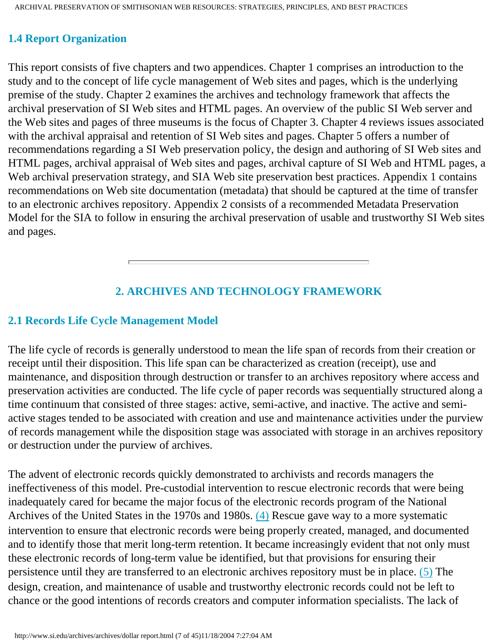#### **1.4 Report Organization**

This report consists of five chapters and two appendices. Chapter 1 comprises an introduction to the study and to the concept of life cycle management of Web sites and pages, which is the underlying premise of the study. Chapter 2 examines the archives and technology framework that affects the archival preservation of SI Web sites and HTML pages. An overview of the public SI Web server and the Web sites and pages of three museums is the focus of Chapter 3. Chapter 4 reviews issues associated with the archival appraisal and retention of SI Web sites and pages. Chapter 5 offers a number of recommendations regarding a SI Web preservation policy, the design and authoring of SI Web sites and HTML pages, archival appraisal of Web sites and pages, archival capture of SI Web and HTML pages, a Web archival preservation strategy, and SIA Web site preservation best practices. Appendix 1 contains recommendations on Web site documentation (metadata) that should be captured at the time of transfer to an electronic archives repository. Appendix 2 consists of a recommended Metadata Preservation Model for the SIA to follow in ensuring the archival preservation of usable and trustworthy SI Web sites and pages.

### **2. ARCHIVES AND TECHNOLOGY FRAMEWORK**

#### <span id="page-6-1"></span><span id="page-6-0"></span>**2.1 Records Life Cycle Management Model**

The life cycle of records is generally understood to mean the life span of records from their creation or receipt until their disposition. This life span can be characterized as creation (receipt), use and maintenance, and disposition through destruction or transfer to an archives repository where access and preservation activities are conducted. The life cycle of paper records was sequentially structured along a time continuum that consisted of three stages: active, semi-active, and inactive. The active and semiactive stages tended to be associated with creation and use and maintenance activities under the purview of records management while the disposition stage was associated with storage in an archives repository or destruction under the purview of archives.

<span id="page-6-2"></span>The advent of electronic records quickly demonstrated to archivists and records managers the ineffectiveness of this model. Pre-custodial intervention to rescue electronic records that were being inadequately cared for became the major focus of the electronic records program of the National Archives of the United States in the 1970s and 1980s. [\(4\)](#page-45-3) Rescue gave way to a more systematic intervention to ensure that electronic records were being properly created, managed, and documented and to identify those that merit long-term retention. It became increasingly evident that not only must these electronic records of long-term value be identified, but that provisions for ensuring their persistence until they are transferred to an electronic archives repository must be in place. [\(5\)](#page-45-4) The design, creation, and maintenance of usable and trustworthy electronic records could not be left to chance or the good intentions of records creators and computer information specialists. The lack of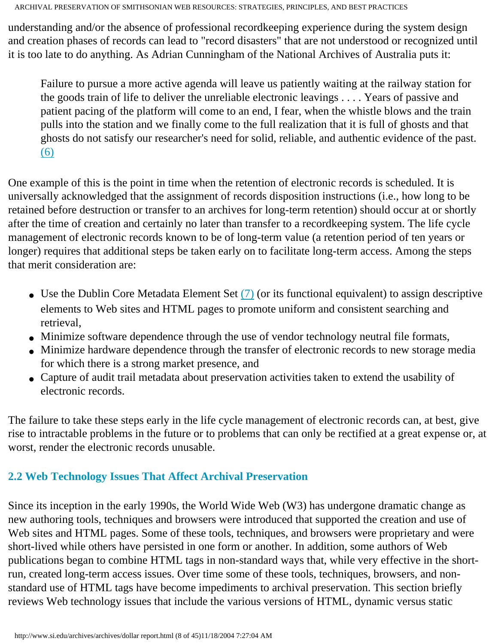understanding and/or the absence of professional recordkeeping experience during the system design and creation phases of records can lead to "record disasters" that are not understood or recognized until it is too late to do anything. As Adrian Cunningham of the National Archives of Australia puts it:

Failure to pursue a more active agenda will leave us patiently waiting at the railway station for the goods train of life to deliver the unreliable electronic leavings . . . . Years of passive and patient pacing of the platform will come to an end, I fear, when the whistle blows and the train pulls into the station and we finally come to the full realization that it is full of ghosts and that ghosts do not satisfy our researcher's need for solid, reliable, and authentic evidence of the past. [\(6\)](#page-45-4)

One example of this is the point in time when the retention of electronic records is scheduled. It is universally acknowledged that the assignment of records disposition instructions (i.e., how long to be retained before destruction or transfer to an archives for long-term retention) should occur at or shortly after the time of creation and certainly no later than transfer to a recordkeeping system. The life cycle management of electronic records known to be of long-term value (a retention period of ten years or longer) requires that additional steps be taken early on to facilitate long-term access. Among the steps that merit consideration are:

- Use the Dublin Core Metadata Element Set  $(7)$  (or its functional equivalent) to assign descriptive elements to Web sites and HTML pages to promote uniform and consistent searching and retrieval,
- Minimize software dependence through the use of vendor technology neutral file formats,
- Minimize hardware dependence through the transfer of electronic records to new storage media for which there is a strong market presence, and
- Capture of audit trail metadata about preservation activities taken to extend the usability of electronic records.

The failure to take these steps early in the life cycle management of electronic records can, at best, give rise to intractable problems in the future or to problems that can only be rectified at a great expense or, at worst, render the electronic records unusable.

## **2.2 Web Technology Issues That Affect Archival Preservation**

Since its inception in the early 1990s, the World Wide Web (W3) has undergone dramatic change as new authoring tools, techniques and browsers were introduced that supported the creation and use of Web sites and HTML pages. Some of these tools, techniques, and browsers were proprietary and were short-lived while others have persisted in one form or another. In addition, some authors of Web publications began to combine HTML tags in non-standard ways that, while very effective in the shortrun, created long-term access issues. Over time some of these tools, techniques, browsers, and nonstandard use of HTML tags have become impediments to archival preservation. This section briefly reviews Web technology issues that include the various versions of HTML, dynamic versus static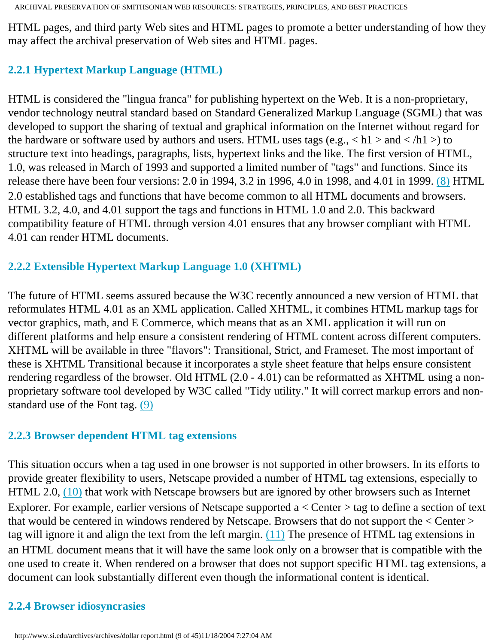HTML pages, and third party Web sites and HTML pages to promote a better understanding of how they may affect the archival preservation of Web sites and HTML pages.

## <span id="page-8-0"></span>**2.2.1 Hypertext Markup Language (HTML)**

HTML is considered the "lingua franca" for publishing hypertext on the Web. It is a non-proprietary, vendor technology neutral standard based on Standard Generalized Markup Language (SGML) that was developed to support the sharing of textual and graphical information on the Internet without regard for the hardware or software used by authors and users. HTML uses tags (e.g.,  $\langle h1 \rangle$  and  $\langle h1 \rangle$ ) to structure text into headings, paragraphs, lists, hypertext links and the like. The first version of HTML, 1.0, was released in March of 1993 and supported a limited number of "tags" and functions. Since its release there have been four versions: 2.0 in 1994, 3.2 in 1996, 4.0 in 1998, and 4.01 in 1999. [\(8\)](#page-46-0) HTML 2.0 established tags and functions that have become common to all HTML documents and browsers. HTML 3.2, 4.0, and 4.01 support the tags and functions in HTML 1.0 and 2.0. This backward compatibility feature of HTML through version 4.01 ensures that any browser compliant with HTML 4.01 can render HTML documents.

#### **2.2.2 Extensible Hypertext Markup Language 1.0 (XHTML)**

The future of HTML seems assured because the W3C recently announced a new version of HTML that reformulates HTML 4.01 as an XML application. Called XHTML, it combines HTML markup tags for vector graphics, math, and E Commerce, which means that as an XML application it will run on different platforms and help ensure a consistent rendering of HTML content across different computers. XHTML will be available in three "flavors": Transitional, Strict, and Frameset. The most important of these is XHTML Transitional because it incorporates a style sheet feature that helps ensure consistent rendering regardless of the browser. Old HTML (2.0 - 4.01) can be reformatted as XHTML using a nonproprietary software tool developed by W3C called "Tidy utility." It will correct markup errors and nonstandard use of the Font tag. [\(9\)](#page-46-0)

#### **2.2.3 Browser dependent HTML tag extensions**

This situation occurs when a tag used in one browser is not supported in other browsers. In its efforts to provide greater flexibility to users, Netscape provided a number of HTML tag extensions, especially to HTML 2.0, [\(10\)](#page-46-1) that work with Netscape browsers but are ignored by other browsers such as Internet Explorer. For example, earlier versions of Netscape supported a < Center > tag to define a section of text that would be centered in windows rendered by Netscape. Browsers that do not support the < Center > tag will ignore it and align the text from the left margin.  $(11)$  The presence of HTML tag extensions in an HTML document means that it will have the same look only on a browser that is compatible with the one used to create it. When rendered on a browser that does not support specific HTML tag extensions, a document can look substantially different even though the informational content is identical.

#### **2.2.4 Browser idiosyncrasies**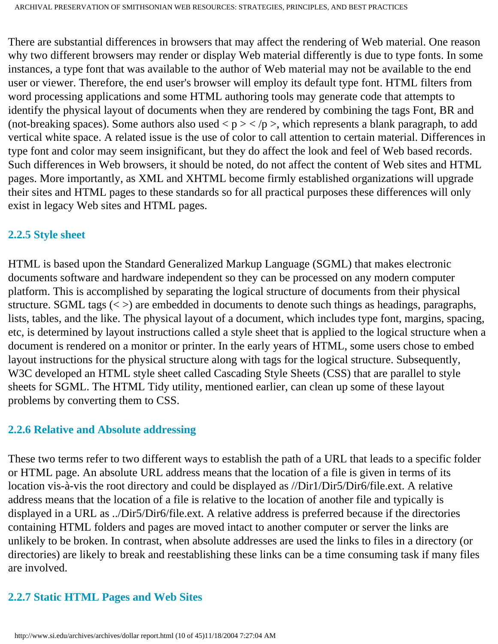There are substantial differences in browsers that may affect the rendering of Web material. One reason why two different browsers may render or display Web material differently is due to type fonts. In some instances, a type font that was available to the author of Web material may not be available to the end user or viewer. Therefore, the end user's browser will employ its default type font. HTML filters from word processing applications and some HTML authoring tools may generate code that attempts to identify the physical layout of documents when they are rendered by combining the tags Font, BR and (not-breaking spaces). Some authors also used  $\langle p \rangle$  =  $\langle p \rangle$ , which represents a blank paragraph, to add vertical white space. A related issue is the use of color to call attention to certain material. Differences in type font and color may seem insignificant, but they do affect the look and feel of Web based records. Such differences in Web browsers, it should be noted, do not affect the content of Web sites and HTML pages. More importantly, as XML and XHTML become firmly established organizations will upgrade their sites and HTML pages to these standards so for all practical purposes these differences will only exist in legacy Web sites and HTML pages.

#### **2.2.5 Style sheet**

HTML is based upon the Standard Generalized Markup Language (SGML) that makes electronic documents software and hardware independent so they can be processed on any modern computer platform. This is accomplished by separating the logical structure of documents from their physical structure. SGML tags  $\langle \langle \rangle$  are embedded in documents to denote such things as headings, paragraphs, lists, tables, and the like. The physical layout of a document, which includes type font, margins, spacing, etc, is determined by layout instructions called a style sheet that is applied to the logical structure when a document is rendered on a monitor or printer. In the early years of HTML, some users chose to embed layout instructions for the physical structure along with tags for the logical structure. Subsequently, W3C developed an HTML style sheet called Cascading Style Sheets (CSS) that are parallel to style sheets for SGML. The HTML Tidy utility, mentioned earlier, can clean up some of these layout problems by converting them to CSS.

#### **2.2.6 Relative and Absolute addressing**

These two terms refer to two different ways to establish the path of a URL that leads to a specific folder or HTML page. An absolute URL address means that the location of a file is given in terms of its location vis-à-vis the root directory and could be displayed as //Dir1/Dir5/Dir6/file.ext. A relative address means that the location of a file is relative to the location of another file and typically is displayed in a URL as ../Dir5/Dir6/file.ext. A relative address is preferred because if the directories containing HTML folders and pages are moved intact to another computer or server the links are unlikely to be broken. In contrast, when absolute addresses are used the links to files in a directory (or directories) are likely to break and reestablishing these links can be a time consuming task if many files are involved.

## **2.2.7 Static HTML Pages and Web Sites**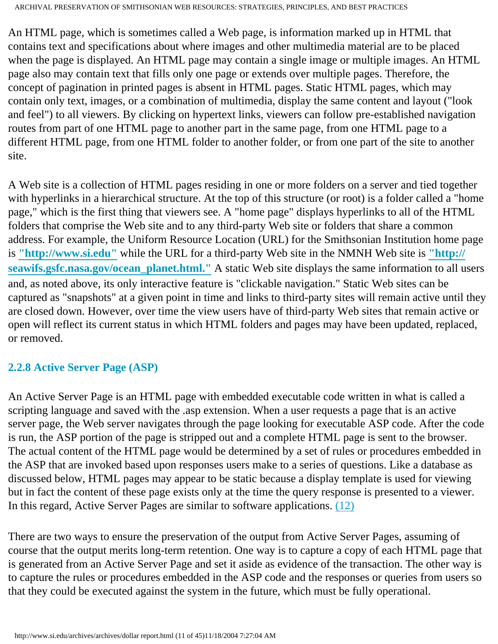An HTML page, which is sometimes called a Web page, is information marked up in HTML that contains text and specifications about where images and other multimedia material are to be placed when the page is displayed. An HTML page may contain a single image or multiple images. An HTML page also may contain text that fills only one page or extends over multiple pages. Therefore, the concept of pagination in printed pages is absent in HTML pages. Static HTML pages, which may contain only text, images, or a combination of multimedia, display the same content and layout ("look and feel") to all viewers. By clicking on hypertext links, viewers can follow pre-established navigation routes from part of one HTML page to another part in the same page, from one HTML page to a different HTML page, from one HTML folder to another folder, or from one part of the site to another site.

A Web site is a collection of HTML pages residing in one or more folders on a server and tied together with hyperlinks in a hierarchical structure. At the top of this structure (or root) is a folder called a "home page," which is the first thing that viewers see. A "home page" displays hyperlinks to all of the HTML folders that comprise the Web site and to any third-party Web site or folders that share a common address. For example, the Uniform Resource Location (URL) for the Smithsonian Institution home page is **["http://www.si.edu"](http://www.si.edu/)** while the URL for a third-party Web site in the NMNH Web site is **["http://](http://seawifs.gsfc.nasa.gov/ocean_planet.html) [seawifs.gsfc.nasa.gov/ocean\\_planet.html."](http://seawifs.gsfc.nasa.gov/ocean_planet.html)** A static Web site displays the same information to all users and, as noted above, its only interactive feature is "clickable navigation." Static Web sites can be captured as "snapshots" at a given point in time and links to third-party sites will remain active until they are closed down. However, over time the view users have of third-party Web sites that remain active or open will reflect its current status in which HTML folders and pages may have been updated, replaced, or removed.

## **2.2.8 Active Server Page (ASP)**

An Active Server Page is an HTML page with embedded executable code written in what is called a scripting language and saved with the .asp extension. When a user requests a page that is an active server page, the Web server navigates through the page looking for executable ASP code. After the code is run, the ASP portion of the page is stripped out and a complete HTML page is sent to the browser. The actual content of the HTML page would be determined by a set of rules or procedures embedded in the ASP that are invoked based upon responses users make to a series of questions. Like a database as discussed below, HTML pages may appear to be static because a display template is used for viewing but in fact the content of these page exists only at the time the query response is presented to a viewer. In this regard, Active Server Pages are similar to software applications. [\(12\)](#page-46-2)

There are two ways to ensure the preservation of the output from Active Server Pages, assuming of course that the output merits long-term retention. One way is to capture a copy of each HTML page that is generated from an Active Server Page and set it aside as evidence of the transaction. The other way is to capture the rules or procedures embedded in the ASP code and the responses or queries from users so that they could be executed against the system in the future, which must be fully operational.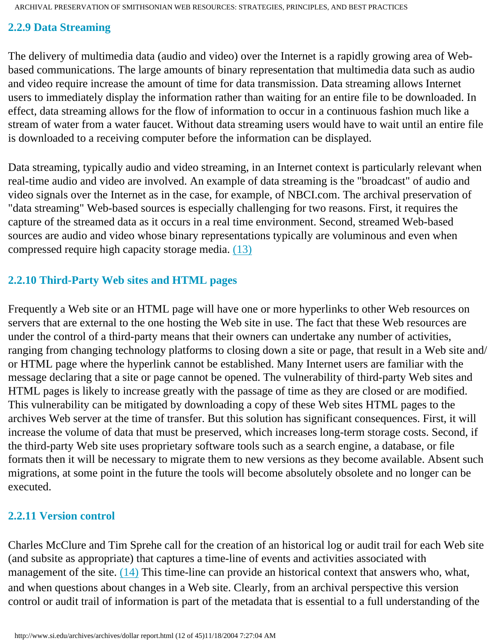#### **2.2.9 Data Streaming**

The delivery of multimedia data (audio and video) over the Internet is a rapidly growing area of Webbased communications. The large amounts of binary representation that multimedia data such as audio and video require increase the amount of time for data transmission. Data streaming allows Internet users to immediately display the information rather than waiting for an entire file to be downloaded. In effect, data streaming allows for the flow of information to occur in a continuous fashion much like a stream of water from a water faucet. Without data streaming users would have to wait until an entire file is downloaded to a receiving computer before the information can be displayed.

Data streaming, typically audio and video streaming, in an Internet context is particularly relevant when real-time audio and video are involved. An example of data streaming is the "broadcast" of audio and video signals over the Internet as in the case, for example, of NBCI.com. The archival preservation of "data streaming" Web-based sources is especially challenging for two reasons. First, it requires the capture of the streamed data as it occurs in a real time environment. Second, streamed Web-based sources are audio and video whose binary representations typically are voluminous and even when compressed require high capacity storage media. [\(13\)](#page-46-3)

### **2.2.10 Third-Party Web sites and HTML pages**

Frequently a Web site or an HTML page will have one or more hyperlinks to other Web resources on servers that are external to the one hosting the Web site in use. The fact that these Web resources are under the control of a third-party means that their owners can undertake any number of activities, ranging from changing technology platforms to closing down a site or page, that result in a Web site and/ or HTML page where the hyperlink cannot be established. Many Internet users are familiar with the message declaring that a site or page cannot be opened. The vulnerability of third-party Web sites and HTML pages is likely to increase greatly with the passage of time as they are closed or are modified. This vulnerability can be mitigated by downloading a copy of these Web sites HTML pages to the archives Web server at the time of transfer. But this solution has significant consequences. First, it will increase the volume of data that must be preserved, which increases long-term storage costs. Second, if the third-party Web site uses proprietary software tools such as a search engine, a database, or file formats then it will be necessary to migrate them to new versions as they become available. Absent such migrations, at some point in the future the tools will become absolutely obsolete and no longer can be executed.

## **2.2.11 Version control**

Charles McClure and Tim Sprehe call for the creation of an historical log or audit trail for each Web site (and subsite as appropriate) that captures a time-line of events and activities associated with management of the site. [\(14\)](#page-46-4) This time-line can provide an historical context that answers who, what, and when questions about changes in a Web site. Clearly, from an archival perspective this version control or audit trail of information is part of the metadata that is essential to a full understanding of the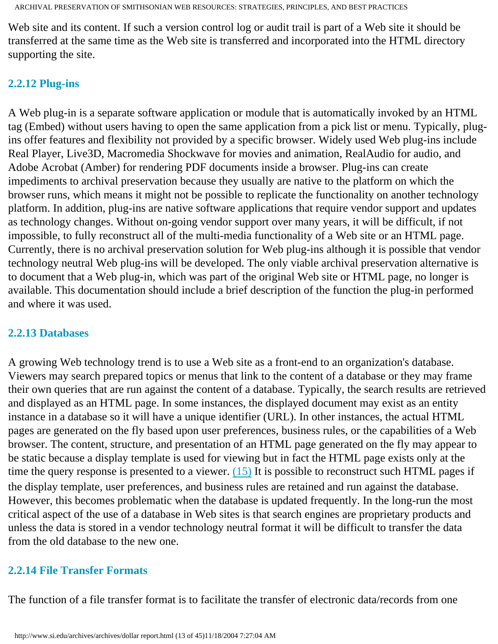Web site and its content. If such a version control log or audit trail is part of a Web site it should be transferred at the same time as the Web site is transferred and incorporated into the HTML directory supporting the site.

#### **2.2.12 Plug-ins**

A Web plug-in is a separate software application or module that is automatically invoked by an HTML tag (Embed) without users having to open the same application from a pick list or menu. Typically, plugins offer features and flexibility not provided by a specific browser. Widely used Web plug-ins include Real Player, Live3D, Macromedia Shockwave for movies and animation, RealAudio for audio, and Adobe Acrobat (Amber) for rendering PDF documents inside a browser. Plug-ins can create impediments to archival preservation because they usually are native to the platform on which the browser runs, which means it might not be possible to replicate the functionality on another technology platform. In addition, plug-ins are native software applications that require vendor support and updates as technology changes. Without on-going vendor support over many years, it will be difficult, if not impossible, to fully reconstruct all of the multi-media functionality of a Web site or an HTML page. Currently, there is no archival preservation solution for Web plug-ins although it is possible that vendor technology neutral Web plug-ins will be developed. The only viable archival preservation alternative is to document that a Web plug-in, which was part of the original Web site or HTML page, no longer is available. This documentation should include a brief description of the function the plug-in performed and where it was used.

#### **2.2.13 Databases**

A growing Web technology trend is to use a Web site as a front-end to an organization's database. Viewers may search prepared topics or menus that link to the content of a database or they may frame their own queries that are run against the content of a database. Typically, the search results are retrieved and displayed as an HTML page. In some instances, the displayed document may exist as an entity instance in a database so it will have a unique identifier (URL). In other instances, the actual HTML pages are generated on the fly based upon user preferences, business rules, or the capabilities of a Web browser. The content, structure, and presentation of an HTML page generated on the fly may appear to be static because a display template is used for viewing but in fact the HTML page exists only at the time the query response is presented to a viewer.  $(15)$  It is possible to reconstruct such HTML pages if the display template, user preferences, and business rules are retained and run against the database. However, this becomes problematic when the database is updated frequently. In the long-run the most critical aspect of the use of a database in Web sites is that search engines are proprietary products and unless the data is stored in a vendor technology neutral format it will be difficult to transfer the data from the old database to the new one.

#### **2.2.14 File Transfer Formats**

The function of a file transfer format is to facilitate the transfer of electronic data/records from one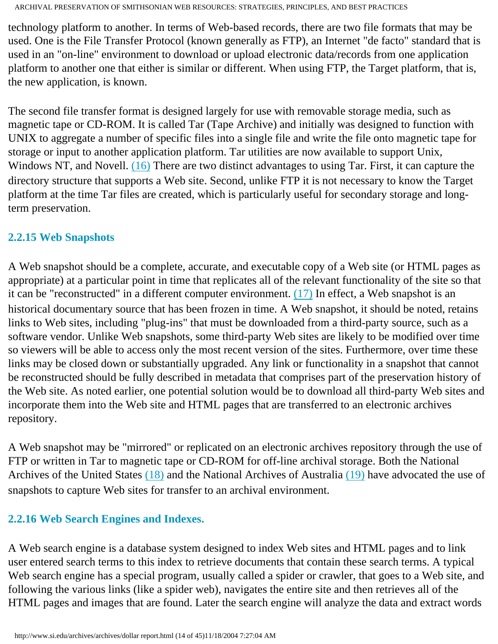technology platform to another. In terms of Web-based records, there are two file formats that may be used. One is the File Transfer Protocol (known generally as FTP), an Internet "de facto" standard that is used in an "on-line" environment to download or upload electronic data/records from one application platform to another one that either is similar or different. When using FTP, the Target platform, that is, the new application, is known.

The second file transfer format is designed largely for use with removable storage media, such as magnetic tape or CD-ROM. It is called Tar (Tape Archive) and initially was designed to function with UNIX to aggregate a number of specific files into a single file and write the file onto magnetic tape for storage or input to another application platform. Tar utilities are now available to support Unix, Windows NT, and Novell. [\(16\)](#page-46-5) There are two distinct advantages to using Tar. First, it can capture the directory structure that supports a Web site. Second, unlike FTP it is not necessary to know the Target platform at the time Tar files are created, which is particularly useful for secondary storage and longterm preservation.

### **2.2.15 Web Snapshots**

A Web snapshot should be a complete, accurate, and executable copy of a Web site (or HTML pages as appropriate) at a particular point in time that replicates all of the relevant functionality of the site so that it can be "reconstructed" in a different computer environment.  $(17)$  In effect, a Web snapshot is an historical documentary source that has been frozen in time. A Web snapshot, it should be noted, retains links to Web sites, including "plug-ins" that must be downloaded from a third-party source, such as a software vendor. Unlike Web snapshots, some third-party Web sites are likely to be modified over time so viewers will be able to access only the most recent version of the sites. Furthermore, over time these links may be closed down or substantially upgraded. Any link or functionality in a snapshot that cannot be reconstructed should be fully described in metadata that comprises part of the preservation history of the Web site. As noted earlier, one potential solution would be to download all third-party Web sites and incorporate them into the Web site and HTML pages that are transferred to an electronic archives repository.

A Web snapshot may be "mirrored" or replicated on an electronic archives repository through the use of FTP or written in Tar to magnetic tape or CD-ROM for off-line archival storage. Both the National Archives of the United States [\(18\)](#page-47-1) and the National Archives of Australia [\(19\)](#page-47-2) have advocated the use of snapshots to capture Web sites for transfer to an archival environment.

## **2.2.16 Web Search Engines and Indexes.**

A Web search engine is a database system designed to index Web sites and HTML pages and to link user entered search terms to this index to retrieve documents that contain these search terms. A typical Web search engine has a special program, usually called a spider or crawler, that goes to a Web site, and following the various links (like a spider web), navigates the entire site and then retrieves all of the HTML pages and images that are found. Later the search engine will analyze the data and extract words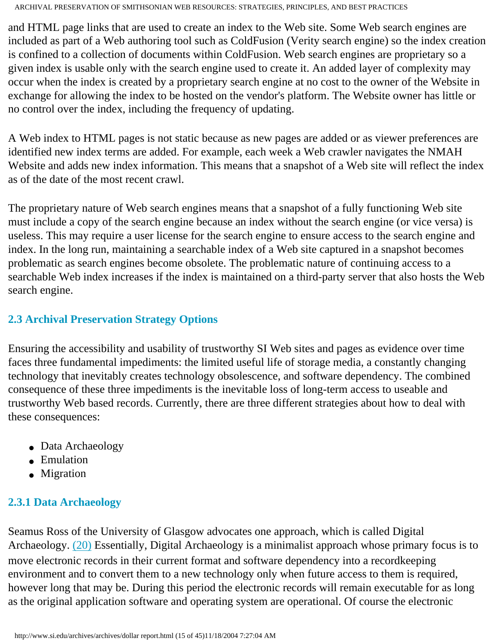and HTML page links that are used to create an index to the Web site. Some Web search engines are included as part of a Web authoring tool such as ColdFusion (Verity search engine) so the index creation is confined to a collection of documents within ColdFusion. Web search engines are proprietary so a given index is usable only with the search engine used to create it. An added layer of complexity may occur when the index is created by a proprietary search engine at no cost to the owner of the Website in exchange for allowing the index to be hosted on the vendor's platform. The Website owner has little or no control over the index, including the frequency of updating.

A Web index to HTML pages is not static because as new pages are added or as viewer preferences are identified new index terms are added. For example, each week a Web crawler navigates the NMAH Website and adds new index information. This means that a snapshot of a Web site will reflect the index as of the date of the most recent crawl.

The proprietary nature of Web search engines means that a snapshot of a fully functioning Web site must include a copy of the search engine because an index without the search engine (or vice versa) is useless. This may require a user license for the search engine to ensure access to the search engine and index. In the long run, maintaining a searchable index of a Web site captured in a snapshot becomes problematic as search engines become obsolete. The problematic nature of continuing access to a searchable Web index increases if the index is maintained on a third-party server that also hosts the Web search engine.

### **2.3 Archival Preservation Strategy Options**

Ensuring the accessibility and usability of trustworthy SI Web sites and pages as evidence over time faces three fundamental impediments: the limited useful life of storage media, a constantly changing technology that inevitably creates technology obsolescence, and software dependency. The combined consequence of these three impediments is the inevitable loss of long-term access to useable and trustworthy Web based records. Currently, there are three different strategies about how to deal with these consequences:

- Data Archaeology
- Emulation
- Migration

## <span id="page-14-1"></span><span id="page-14-0"></span>**2.3.1 Data Archaeology**

Seamus Ross of the University of Glasgow advocates one approach, which is called Digital Archaeology. [\(20\)](#page-47-3) Essentially, Digital Archaeology is a minimalist approach whose primary focus is to move electronic records in their current format and software dependency into a recordkeeping environment and to convert them to a new technology only when future access to them is required, however long that may be. During this period the electronic records will remain executable for as long as the original application software and operating system are operational. Of course the electronic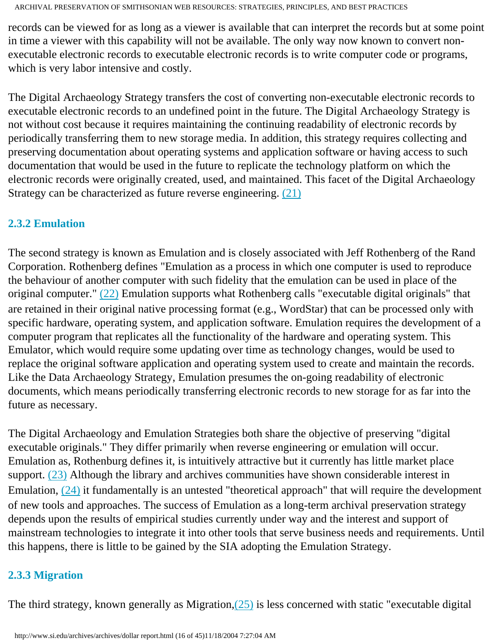records can be viewed for as long as a viewer is available that can interpret the records but at some point in time a viewer with this capability will not be available. The only way now known to convert nonexecutable electronic records to executable electronic records is to write computer code or programs, which is very labor intensive and costly.

The Digital Archaeology Strategy transfers the cost of converting non-executable electronic records to executable electronic records to an undefined point in the future. The Digital Archaeology Strategy is not without cost because it requires maintaining the continuing readability of electronic records by periodically transferring them to new storage media. In addition, this strategy requires collecting and preserving documentation about operating systems and application software or having access to such documentation that would be used in the future to replicate the technology platform on which the electronic records were originally created, used, and maintained. This facet of the Digital Archaeology Strategy can be characterized as future reverse engineering. [\(21\)](#page-47-4)

#### <span id="page-15-0"></span>**2.3.2 Emulation**

The second strategy is known as Emulation and is closely associated with Jeff Rothenberg of the Rand Corporation. Rothenberg defines "Emulation as a process in which one computer is used to reproduce the behaviour of another computer with such fidelity that the emulation can be used in place of the original computer." [\(22\)](#page-47-5) Emulation supports what Rothenberg calls "executable digital originals" that are retained in their original native processing format (e.g., WordStar) that can be processed only with specific hardware, operating system, and application software. Emulation requires the development of a computer program that replicates all the functionality of the hardware and operating system. This Emulator, which would require some updating over time as technology changes, would be used to replace the original software application and operating system used to create and maintain the records. Like the Data Archaeology Strategy, Emulation presumes the on-going readability of electronic documents, which means periodically transferring electronic records to new storage for as far into the future as necessary.

The Digital Archaeology and Emulation Strategies both share the objective of preserving "digital executable originals." They differ primarily when reverse engineering or emulation will occur. Emulation as, Rothenburg defines it, is intuitively attractive but it currently has little market place support. [\(23\)](#page-47-6) Although the library and archives communities have shown considerable interest in Emulation,  $(24)$  it fundamentally is an untested "theoretical approach" that will require the development of new tools and approaches. The success of Emulation as a long-term archival preservation strategy depends upon the results of empirical studies currently under way and the interest and support of mainstream technologies to integrate it into other tools that serve business needs and requirements. Until this happens, there is little to be gained by the SIA adopting the Emulation Strategy.

## <span id="page-15-1"></span>**2.3.3 Migration**

The third strategy, known generally as Migration[,\(25\)](#page-47-7) is less concerned with static "executable digital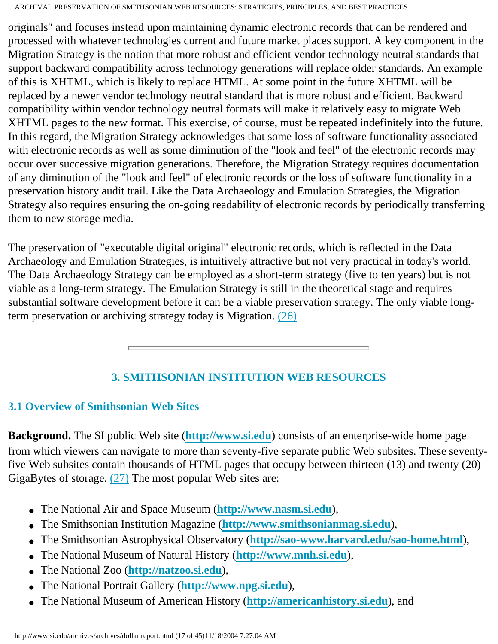originals" and focuses instead upon maintaining dynamic electronic records that can be rendered and processed with whatever technologies current and future market places support. A key component in the Migration Strategy is the notion that more robust and efficient vendor technology neutral standards that support backward compatibility across technology generations will replace older standards. An example of this is XHTML, which is likely to replace HTML. At some point in the future XHTML will be replaced by a newer vendor technology neutral standard that is more robust and efficient. Backward compatibility within vendor technology neutral formats will make it relatively easy to migrate Web XHTML pages to the new format. This exercise, of course, must be repeated indefinitely into the future. In this regard, the Migration Strategy acknowledges that some loss of software functionality associated with electronic records as well as some diminution of the "look and feel" of the electronic records may occur over successive migration generations. Therefore, the Migration Strategy requires documentation of any diminution of the "look and feel" of electronic records or the loss of software functionality in a preservation history audit trail. Like the Data Archaeology and Emulation Strategies, the Migration Strategy also requires ensuring the on-going readability of electronic records by periodically transferring them to new storage media.

The preservation of "executable digital original" electronic records, which is reflected in the Data Archaeology and Emulation Strategies, is intuitively attractive but not very practical in today's world. The Data Archaeology Strategy can be employed as a short-term strategy (five to ten years) but is not viable as a long-term strategy. The Emulation Strategy is still in the theoretical stage and requires substantial software development before it can be a viable preservation strategy. The only viable longterm preservation or archiving strategy today is Migration. [\(26\)](#page-47-8)

## **3. SMITHSONIAN INSTITUTION WEB RESOURCES**

## <span id="page-16-0"></span>**3.1 Overview of Smithsonian Web Sites**

<span id="page-16-1"></span>**Background.** The SI public Web site (**[http://www.si.edu](http://www.si.edu/)**) consists of an enterprise-wide home page from which viewers can navigate to more than seventy-five separate public Web subsites. These seventyfive Web subsites contain thousands of HTML pages that occupy between thirteen (13) and twenty (20) GigaBytes of storage. [\(27\)](#page-48-0) The most popular Web sites are:

- The National Air and Space Museum (**[http://www.nasm.si.edu](http://www.nasm.si.edu/)**),
- The Smithsonian Institution Magazine (**[http://www.smithsonianmag.si.edu](http://www.smithsonianmag.si.edu/)**),
- The Smithsonian Astrophysical Observatory (**<http://sao-www.harvard.edu/sao-home.html>**),
- The National Museum of Natural History (**[http://www.mnh.si.edu](http://www.mnh.si.edu/)**),
- The National Zoo (**[http://natzoo.si.edu](http://natzoo.si.edu/)**),
- The National Portrait Gallery (**[http://www.npg.si.edu](http://www.npg.si.edu/)**),
- The National Museum of American History (**[http://americanhistory.si.edu](http://americanhistory.si.edu/)**), and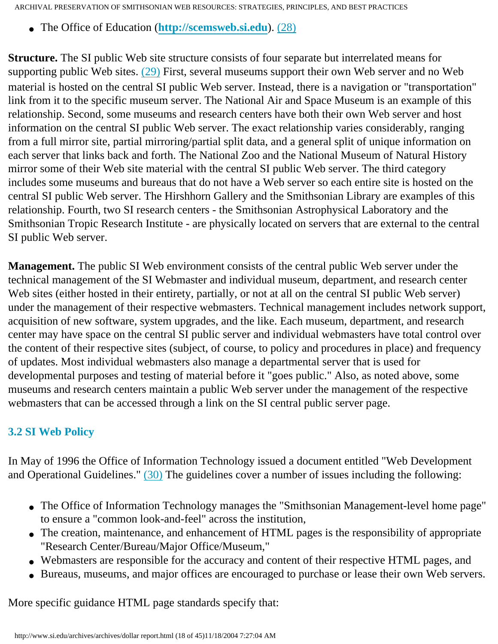● The Office of Education (**[http://scemsweb.si.edu](http://scemsweb.si.edu/)**). [\(28\)](#page-48-1)

**Structure.** The SI public Web site structure consists of four separate but interrelated means for supporting public Web sites. [\(29\)](#page-48-2) First, several museums support their own Web server and no Web material is hosted on the central SI public Web server. Instead, there is a navigation or "transportation" link from it to the specific museum server. The National Air and Space Museum is an example of this relationship. Second, some museums and research centers have both their own Web server and host information on the central SI public Web server. The exact relationship varies considerably, ranging from a full mirror site, partial mirroring/partial split data, and a general split of unique information on each server that links back and forth. The National Zoo and the National Museum of Natural History mirror some of their Web site material with the central SI public Web server. The third category includes some museums and bureaus that do not have a Web server so each entire site is hosted on the central SI public Web server. The Hirshhorn Gallery and the Smithsonian Library are examples of this relationship. Fourth, two SI research centers - the Smithsonian Astrophysical Laboratory and the Smithsonian Tropic Research Institute - are physically located on servers that are external to the central SI public Web server.

**Management.** The public SI Web environment consists of the central public Web server under the technical management of the SI Webmaster and individual museum, department, and research center Web sites (either hosted in their entirety, partially, or not at all on the central SI public Web server) under the management of their respective webmasters. Technical management includes network support, acquisition of new software, system upgrades, and the like. Each museum, department, and research center may have space on the central SI public server and individual webmasters have total control over the content of their respective sites (subject, of course, to policy and procedures in place) and frequency of updates. Most individual webmasters also manage a departmental server that is used for developmental purposes and testing of material before it "goes public." Also, as noted above, some museums and research centers maintain a public Web server under the management of the respective webmasters that can be accessed through a link on the SI central public server page.

## **3.2 SI Web Policy**

<span id="page-17-0"></span>In May of 1996 the Office of Information Technology issued a document entitled "Web Development and Operational Guidelines." [\(30\)](#page-48-2) The guidelines cover a number of issues including the following:

- The Office of Information Technology manages the "Smithsonian Management-level home page" to ensure a "common look-and-feel" across the institution,
- The creation, maintenance, and enhancement of HTML pages is the responsibility of appropriate "Research Center/Bureau/Major Office/Museum,"
- Webmasters are responsible for the accuracy and content of their respective HTML pages, and
- Bureaus, museums, and major offices are encouraged to purchase or lease their own Web servers.

More specific guidance HTML page standards specify that: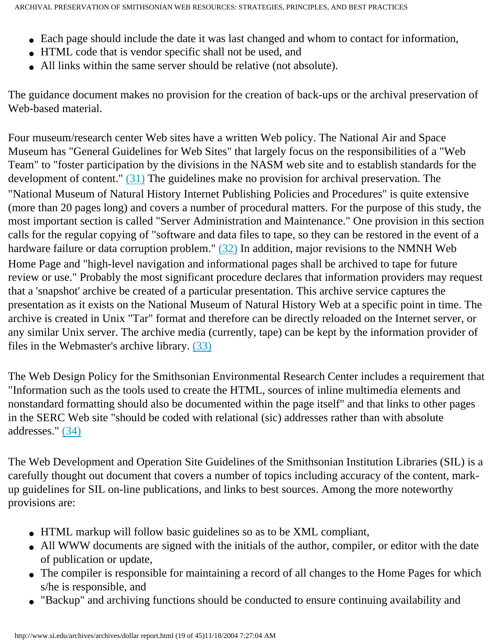- Each page should include the date it was last changed and whom to contact for information,
- HTML code that is vendor specific shall not be used, and
- All links within the same server should be relative (not absolute).

The guidance document makes no provision for the creation of back-ups or the archival preservation of Web-based material.

Four museum/research center Web sites have a written Web policy. The National Air and Space Museum has "General Guidelines for Web Sites" that largely focus on the responsibilities of a "Web Team" to "foster participation by the divisions in the NASM web site and to establish standards for the development of content." [\(31\)](#page-48-3) The guidelines make no provision for archival preservation. The "National Museum of Natural History Internet Publishing Policies and Procedures" is quite extensive (more than 20 pages long) and covers a number of procedural matters. For the purpose of this study, the most important section is called "Server Administration and Maintenance." One provision in this section calls for the regular copying of "software and data files to tape, so they can be restored in the event of a hardware failure or data corruption problem." [\(32\)](#page-48-4) In addition, major revisions to the NMNH Web Home Page and "high-level navigation and informational pages shall be archived to tape for future review or use." Probably the most significant procedure declares that information providers may request that a 'snapshot' archive be created of a particular presentation. This archive service captures the presentation as it exists on the National Museum of Natural History Web at a specific point in time. The archive is created in Unix "Tar" format and therefore can be directly reloaded on the Internet server, or any similar Unix server. The archive media (currently, tape) can be kept by the information provider of files in the Webmaster's archive library. [\(33\)](#page-48-5)

The Web Design Policy for the Smithsonian Environmental Research Center includes a requirement that "Information such as the tools used to create the HTML, sources of inline multimedia elements and nonstandard formatting should also be documented within the page itself" and that links to other pages in the SERC Web site "should be coded with relational (sic) addresses rather than with absolute addresses." [\(34\)](#page-48-5)

The Web Development and Operation Site Guidelines of the Smithsonian Institution Libraries (SIL) is a carefully thought out document that covers a number of topics including accuracy of the content, markup guidelines for SIL on-line publications, and links to best sources. Among the more noteworthy provisions are:

- HTML markup will follow basic guidelines so as to be XML compliant,
- All WWW documents are signed with the initials of the author, compiler, or editor with the date of publication or update,
- The compiler is responsible for maintaining a record of all changes to the Home Pages for which s/he is responsible, and
- "Backup" and archiving functions should be conducted to ensure continuing availability and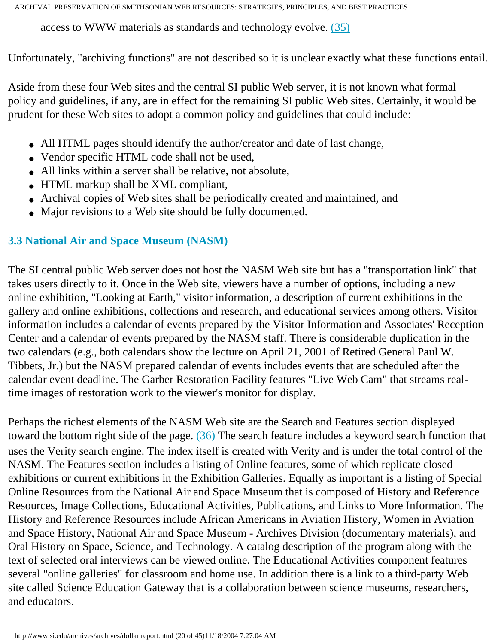access to WWW materials as standards and technology evolve. [\(35\)](#page-48-6)

Unfortunately, "archiving functions" are not described so it is unclear exactly what these functions entail.

Aside from these four Web sites and the central SI public Web server, it is not known what formal policy and guidelines, if any, are in effect for the remaining SI public Web sites. Certainly, it would be prudent for these Web sites to adopt a common policy and guidelines that could include:

- All HTML pages should identify the author/creator and date of last change,
- Vendor specific HTML code shall not be used,
- All links within a server shall be relative, not absolute,
- HTML markup shall be XML compliant,
- Archival copies of Web sites shall be periodically created and maintained, and
- Major revisions to a Web site should be fully documented.

## **3.3 National Air and Space Museum (NASM)**

The SI central public Web server does not host the NASM Web site but has a "transportation link" that takes users directly to it. Once in the Web site, viewers have a number of options, including a new online exhibition, "Looking at Earth," visitor information, a description of current exhibitions in the gallery and online exhibitions, collections and research, and educational services among others. Visitor information includes a calendar of events prepared by the Visitor Information and Associates' Reception Center and a calendar of events prepared by the NASM staff. There is considerable duplication in the two calendars (e.g., both calendars show the lecture on April 21, 2001 of Retired General Paul W. Tibbets, Jr.) but the NASM prepared calendar of events includes events that are scheduled after the calendar event deadline. The Garber Restoration Facility features "Live Web Cam" that streams realtime images of restoration work to the viewer's monitor for display.

<span id="page-19-0"></span>Perhaps the richest elements of the NASM Web site are the Search and Features section displayed toward the bottom right side of the page. [\(36\)](#page-48-7) The search feature includes a keyword search function that uses the Verity search engine. The index itself is created with Verity and is under the total control of the NASM. The Features section includes a listing of Online features, some of which replicate closed exhibitions or current exhibitions in the Exhibition Galleries. Equally as important is a listing of Special Online Resources from the National Air and Space Museum that is composed of History and Reference Resources, Image Collections, Educational Activities, Publications, and Links to More Information. The History and Reference Resources include African Americans in Aviation History, Women in Aviation and Space History, National Air and Space Museum - Archives Division (documentary materials), and Oral History on Space, Science, and Technology. A catalog description of the program along with the text of selected oral interviews can be viewed online. The Educational Activities component features several "online galleries" for classroom and home use. In addition there is a link to a third-party Web site called Science Education Gateway that is a collaboration between science museums, researchers, and educators.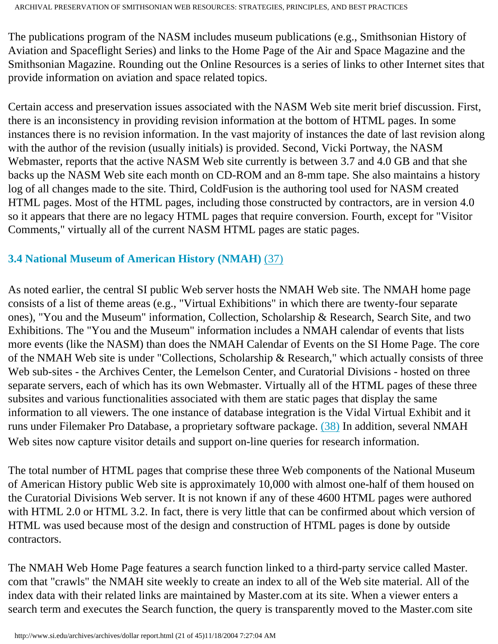The publications program of the NASM includes museum publications (e.g., Smithsonian History of Aviation and Spaceflight Series) and links to the Home Page of the Air and Space Magazine and the Smithsonian Magazine. Rounding out the Online Resources is a series of links to other Internet sites that provide information on aviation and space related topics.

Certain access and preservation issues associated with the NASM Web site merit brief discussion. First, there is an inconsistency in providing revision information at the bottom of HTML pages. In some instances there is no revision information. In the vast majority of instances the date of last revision along with the author of the revision (usually initials) is provided. Second, Vicki Portway, the NASM Webmaster, reports that the active NASM Web site currently is between 3.7 and 4.0 GB and that she backs up the NASM Web site each month on CD-ROM and an 8-mm tape. She also maintains a history log of all changes made to the site. Third, ColdFusion is the authoring tool used for NASM created HTML pages. Most of the HTML pages, including those constructed by contractors, are in version 4.0 so it appears that there are no legacy HTML pages that require conversion. Fourth, except for "Visitor Comments," virtually all of the current NASM HTML pages are static pages.

## <span id="page-20-0"></span>**3.4 National Museum of American History (NMAH)** [\(37\)](#page-48-8)

As noted earlier, the central SI public Web server hosts the NMAH Web site. The NMAH home page consists of a list of theme areas (e.g., "Virtual Exhibitions" in which there are twenty-four separate ones), "You and the Museum" information, Collection, Scholarship & Research, Search Site, and two Exhibitions. The "You and the Museum" information includes a NMAH calendar of events that lists more events (like the NASM) than does the NMAH Calendar of Events on the SI Home Page. The core of the NMAH Web site is under "Collections, Scholarship & Research," which actually consists of three Web sub-sites - the Archives Center, the Lemelson Center, and Curatorial Divisions - hosted on three separate servers, each of which has its own Webmaster. Virtually all of the HTML pages of these three subsites and various functionalities associated with them are static pages that display the same information to all viewers. The one instance of database integration is the Vidal Virtual Exhibit and it runs under Filemaker Pro Database, a proprietary software package. [\(38\)](#page-48-9) In addition, several NMAH Web sites now capture visitor details and support on-line queries for research information.

The total number of HTML pages that comprise these three Web components of the National Museum of American History public Web site is approximately 10,000 with almost one-half of them housed on the Curatorial Divisions Web server. It is not known if any of these 4600 HTML pages were authored with HTML 2.0 or HTML 3.2. In fact, there is very little that can be confirmed about which version of HTML was used because most of the design and construction of HTML pages is done by outside contractors.

The NMAH Web Home Page features a search function linked to a third-party service called Master. com that "crawls" the NMAH site weekly to create an index to all of the Web site material. All of the index data with their related links are maintained by Master.com at its site. When a viewer enters a search term and executes the Search function, the query is transparently moved to the Master.com site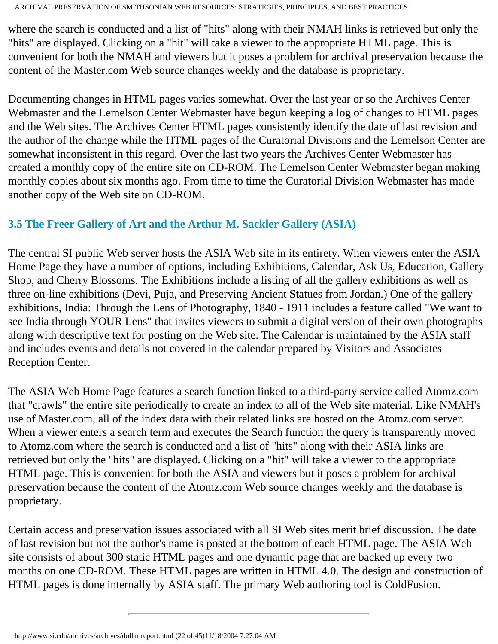where the search is conducted and a list of "hits" along with their NMAH links is retrieved but only the "hits" are displayed. Clicking on a "hit" will take a viewer to the appropriate HTML page. This is convenient for both the NMAH and viewers but it poses a problem for archival preservation because the content of the Master.com Web source changes weekly and the database is proprietary.

Documenting changes in HTML pages varies somewhat. Over the last year or so the Archives Center Webmaster and the Lemelson Center Webmaster have begun keeping a log of changes to HTML pages and the Web sites. The Archives Center HTML pages consistently identify the date of last revision and the author of the change while the HTML pages of the Curatorial Divisions and the Lemelson Center are somewhat inconsistent in this regard. Over the last two years the Archives Center Webmaster has created a monthly copy of the entire site on CD-ROM. The Lemelson Center Webmaster began making monthly copies about six months ago. From time to time the Curatorial Division Webmaster has made another copy of the Web site on CD-ROM.

### **3.5 The Freer Gallery of Art and the Arthur M. Sackler Gallery (ASIA)**

The central SI public Web server hosts the ASIA Web site in its entirety. When viewers enter the ASIA Home Page they have a number of options, including Exhibitions, Calendar, Ask Us, Education, Gallery Shop, and Cherry Blossoms. The Exhibitions include a listing of all the gallery exhibitions as well as three on-line exhibitions (Devi, Puja, and Preserving Ancient Statues from Jordan.) One of the gallery exhibitions, India: Through the Lens of Photography, 1840 - 1911 includes a feature called "We want to see India through YOUR Lens" that invites viewers to submit a digital version of their own photographs along with descriptive text for posting on the Web site. The Calendar is maintained by the ASIA staff and includes events and details not covered in the calendar prepared by Visitors and Associates Reception Center.

The ASIA Web Home Page features a search function linked to a third-party service called Atomz.com that "crawls" the entire site periodically to create an index to all of the Web site material. Like NMAH's use of Master.com, all of the index data with their related links are hosted on the Atomz.com server. When a viewer enters a search term and executes the Search function the query is transparently moved to Atomz.com where the search is conducted and a list of "hits" along with their ASIA links are retrieved but only the "hits" are displayed. Clicking on a "hit" will take a viewer to the appropriate HTML page. This is convenient for both the ASIA and viewers but it poses a problem for archival preservation because the content of the Atomz.com Web source changes weekly and the database is proprietary.

Certain access and preservation issues associated with all SI Web sites merit brief discussion. The date of last revision but not the author's name is posted at the bottom of each HTML page. The ASIA Web site consists of about 300 static HTML pages and one dynamic page that are backed up every two months on one CD-ROM. These HTML pages are written in HTML 4.0. The design and construction of HTML pages is done internally by ASIA staff. The primary Web authoring tool is ColdFusion.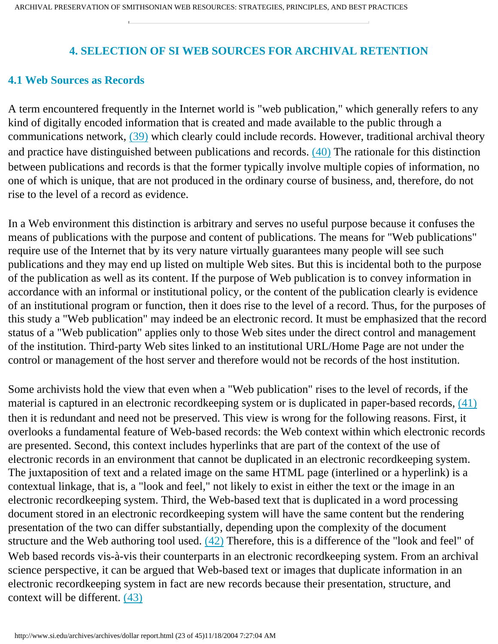#### **4. SELECTION OF SI WEB SOURCES FOR ARCHIVAL RETENTION**

#### <span id="page-22-1"></span><span id="page-22-0"></span>**4.1 Web Sources as Records**

<span id="page-22-2"></span>A term encountered frequently in the Internet world is "web publication," which generally refers to any kind of digitally encoded information that is created and made available to the public through a communications network, [\(39\)](#page-49-0) which clearly could include records. However, traditional archival theory and practice have distinguished between publications and records. [\(40\)](#page-49-0) The rationale for this distinction between publications and records is that the former typically involve multiple copies of information, no one of which is unique, that are not produced in the ordinary course of business, and, therefore, do not rise to the level of a record as evidence.

In a Web environment this distinction is arbitrary and serves no useful purpose because it confuses the means of publications with the purpose and content of publications. The means for "Web publications" require use of the Internet that by its very nature virtually guarantees many people will see such publications and they may end up listed on multiple Web sites. But this is incidental both to the purpose of the publication as well as its content. If the purpose of Web publication is to convey information in accordance with an informal or institutional policy, or the content of the publication clearly is evidence of an institutional program or function, then it does rise to the level of a record. Thus, for the purposes of this study a "Web publication" may indeed be an electronic record. It must be emphasized that the record status of a "Web publication" applies only to those Web sites under the direct control and management of the institution. Third-party Web sites linked to an institutional URL/Home Page are not under the control or management of the host server and therefore would not be records of the host institution.

Some archivists hold the view that even when a "Web publication" rises to the level of records, if the material is captured in an electronic recordkeeping system or is duplicated in paper-based records, [\(41\)](#page-49-1) then it is redundant and need not be preserved. This view is wrong for the following reasons. First, it overlooks a fundamental feature of Web-based records: the Web context within which electronic records are presented. Second, this context includes hyperlinks that are part of the context of the use of electronic records in an environment that cannot be duplicated in an electronic recordkeeping system. The juxtaposition of text and a related image on the same HTML page (interlined or a hyperlink) is a contextual linkage, that is, a "look and feel," not likely to exist in either the text or the image in an electronic recordkeeping system. Third, the Web-based text that is duplicated in a word processing document stored in an electronic recordkeeping system will have the same content but the rendering presentation of the two can differ substantially, depending upon the complexity of the document structure and the Web authoring tool used. [\(42\)](#page-49-2) Therefore, this is a difference of the "look and feel" of Web based records vis-à-vis their counterparts in an electronic recordkeeping system. From an archival science perspective, it can be argued that Web-based text or images that duplicate information in an electronic recordkeeping system in fact are new records because their presentation, structure, and context will be different. [\(43\)](#page-49-3)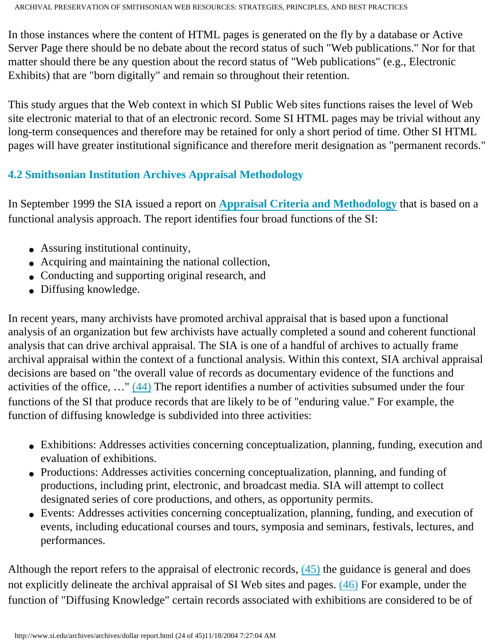In those instances where the content of HTML pages is generated on the fly by a database or Active Server Page there should be no debate about the record status of such "Web publications." Nor for that matter should there be any question about the record status of "Web publications" (e.g., Electronic Exhibits) that are "born digitally" and remain so throughout their retention.

This study argues that the Web context in which SI Public Web sites functions raises the level of Web site electronic material to that of an electronic record. Some SI HTML pages may be trivial without any long-term consequences and therefore may be retained for only a short period of time. Other SI HTML pages will have greater institutional significance and therefore merit designation as "permanent records."

## <span id="page-23-0"></span>**4.2 Smithsonian Institution Archives Appraisal Methodology**

In September 1999 the SIA issued a report on **[Appraisal Criteria and Methodology](http://www.si.edu/archives/archives/2rmapmethodology.html)** that is based on a functional analysis approach. The report identifies four broad functions of the SI:

- Assuring institutional continuity,
- Acquiring and maintaining the national collection,
- Conducting and supporting original research, and
- Diffusing knowledge.

In recent years, many archivists have promoted archival appraisal that is based upon a functional analysis of an organization but few archivists have actually completed a sound and coherent functional analysis that can drive archival appraisal. The SIA is one of a handful of archives to actually frame archival appraisal within the context of a functional analysis. Within this context, SIA archival appraisal decisions are based on "the overall value of records as documentary evidence of the functions and activities of the office, …" [\(44\)](#page-49-4) The report identifies a number of activities subsumed under the four functions of the SI that produce records that are likely to be of "enduring value." For example, the function of diffusing knowledge is subdivided into three activities:

- Exhibitions: Addresses activities concerning conceptualization, planning, funding, execution and evaluation of exhibitions.
- Productions: Addresses activities concerning conceptualization, planning, and funding of productions, including print, electronic, and broadcast media. SIA will attempt to collect designated series of core productions, and others, as opportunity permits.
- Events: Addresses activities concerning conceptualization, planning, funding, and execution of events, including educational courses and tours, symposia and seminars, festivals, lectures, and performances.

Although the report refers to the appraisal of electronic records, [\(45\)](#page-49-5) the guidance is general and does not explicitly delineate the archival appraisal of SI Web sites and pages. [\(46\)](#page-49-6) For example, under the function of "Diffusing Knowledge" certain records associated with exhibitions are considered to be of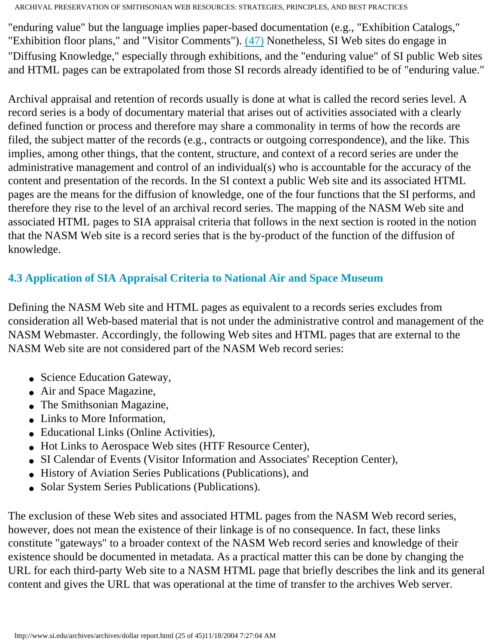"enduring value" but the language implies paper-based documentation (e.g., "Exhibition Catalogs," "Exhibition floor plans," and "Visitor Comments"). [\(47\)](#page-49-7) Nonetheless, SI Web sites do engage in "Diffusing Knowledge," especially through exhibitions, and the "enduring value" of SI public Web sites and HTML pages can be extrapolated from those SI records already identified to be of "enduring value."

Archival appraisal and retention of records usually is done at what is called the record series level. A record series is a body of documentary material that arises out of activities associated with a clearly defined function or process and therefore may share a commonality in terms of how the records are filed, the subject matter of the records (e.g., contracts or outgoing correspondence), and the like. This implies, among other things, that the content, structure, and context of a record series are under the administrative management and control of an individual(s) who is accountable for the accuracy of the content and presentation of the records. In the SI context a public Web site and its associated HTML pages are the means for the diffusion of knowledge, one of the four functions that the SI performs, and therefore they rise to the level of an archival record series. The mapping of the NASM Web site and associated HTML pages to SIA appraisal criteria that follows in the next section is rooted in the notion that the NASM Web site is a record series that is the by-product of the function of the diffusion of knowledge.

## **4.3 Application of SIA Appraisal Criteria to National Air and Space Museum**

Defining the NASM Web site and HTML pages as equivalent to a records series excludes from consideration all Web-based material that is not under the administrative control and management of the NASM Webmaster. Accordingly, the following Web sites and HTML pages that are external to the NASM Web site are not considered part of the NASM Web record series:

- Science Education Gateway,
- Air and Space Magazine,
- The Smithsonian Magazine,
- Links to More Information,
- Educational Links (Online Activities),
- Hot Links to Aerospace Web sites (HTF Resource Center),
- SI Calendar of Events (Visitor Information and Associates' Reception Center),
- History of Aviation Series Publications (Publications), and
- Solar System Series Publications (Publications).

The exclusion of these Web sites and associated HTML pages from the NASM Web record series, however, does not mean the existence of their linkage is of no consequence. In fact, these links constitute "gateways" to a broader context of the NASM Web record series and knowledge of their existence should be documented in metadata. As a practical matter this can be done by changing the URL for each third-party Web site to a NASM HTML page that briefly describes the link and its general content and gives the URL that was operational at the time of transfer to the archives Web server.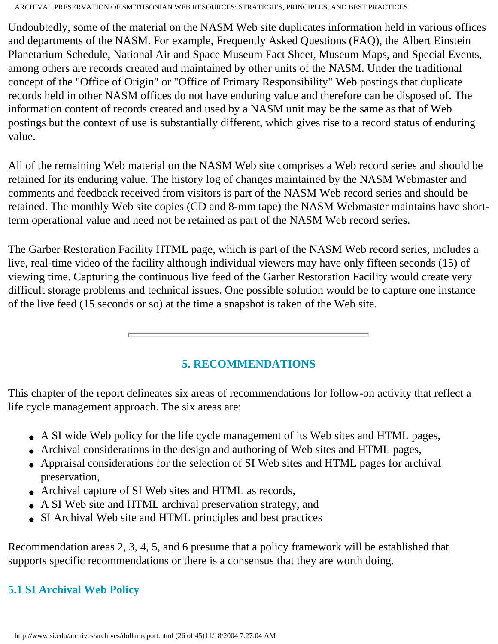Undoubtedly, some of the material on the NASM Web site duplicates information held in various offices and departments of the NASM. For example, Frequently Asked Questions (FAQ), the Albert Einstein Planetarium Schedule, National Air and Space Museum Fact Sheet, Museum Maps, and Special Events, among others are records created and maintained by other units of the NASM. Under the traditional concept of the "Office of Origin" or "Office of Primary Responsibility" Web postings that duplicate records held in other NASM offices do not have enduring value and therefore can be disposed of. The information content of records created and used by a NASM unit may be the same as that of Web postings but the context of use is substantially different, which gives rise to a record status of enduring value.

All of the remaining Web material on the NASM Web site comprises a Web record series and should be retained for its enduring value. The history log of changes maintained by the NASM Webmaster and comments and feedback received from visitors is part of the NASM Web record series and should be retained. The monthly Web site copies (CD and 8-mm tape) the NASM Webmaster maintains have shortterm operational value and need not be retained as part of the NASM Web record series.

The Garber Restoration Facility HTML page, which is part of the NASM Web record series, includes a live, real-time video of the facility although individual viewers may have only fifteen seconds (15) of viewing time. Capturing the continuous live feed of the Garber Restoration Facility would create very difficult storage problems and technical issues. One possible solution would be to capture one instance of the live feed (15 seconds or so) at the time a snapshot is taken of the Web site.

## **5. RECOMMENDATIONS**

<span id="page-25-0"></span>This chapter of the report delineates six areas of recommendations for follow-on activity that reflect a life cycle management approach. The six areas are:

- A SI wide Web policy for the life cycle management of its Web sites and HTML pages,
- Archival considerations in the design and authoring of Web sites and HTML pages,
- Appraisal considerations for the selection of SI Web sites and HTML pages for archival preservation,
- Archival capture of SI Web sites and HTML as records,
- A SI Web site and HTML archival preservation strategy, and
- SI Archival Web site and HTML principles and best practices

Recommendation areas 2, 3, 4, 5, and 6 presume that a policy framework will be established that supports specific recommendations or there is a consensus that they are worth doing.

## <span id="page-25-1"></span>**5.1 SI Archival Web Policy**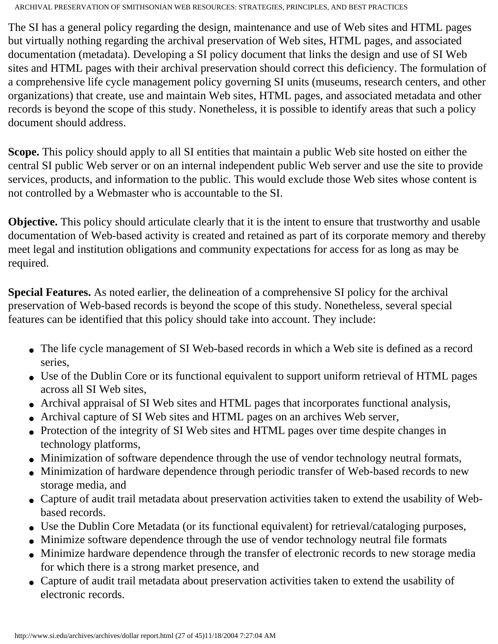The SI has a general policy regarding the design, maintenance and use of Web sites and HTML pages but virtually nothing regarding the archival preservation of Web sites, HTML pages, and associated documentation (metadata). Developing a SI policy document that links the design and use of SI Web sites and HTML pages with their archival preservation should correct this deficiency. The formulation of a comprehensive life cycle management policy governing SI units (museums, research centers, and other organizations) that create, use and maintain Web sites, HTML pages, and associated metadata and other records is beyond the scope of this study. Nonetheless, it is possible to identify areas that such a policy document should address.

**Scope.** This policy should apply to all SI entities that maintain a public Web site hosted on either the central SI public Web server or on an internal independent public Web server and use the site to provide services, products, and information to the public. This would exclude those Web sites whose content is not controlled by a Webmaster who is accountable to the SI.

**Objective.** This policy should articulate clearly that it is the intent to ensure that trustworthy and usable documentation of Web-based activity is created and retained as part of its corporate memory and thereby meet legal and institution obligations and community expectations for access for as long as may be required.

**Special Features.** As noted earlier, the delineation of a comprehensive SI policy for the archival preservation of Web-based records is beyond the scope of this study. Nonetheless, several special features can be identified that this policy should take into account. They include:

- The life cycle management of SI Web-based records in which a Web site is defined as a record series,
- Use of the Dublin Core or its functional equivalent to support uniform retrieval of HTML pages across all SI Web sites,
- Archival appraisal of SI Web sites and HTML pages that incorporates functional analysis,
- Archival capture of SI Web sites and HTML pages on an archives Web server,
- Protection of the integrity of SI Web sites and HTML pages over time despite changes in technology platforms,
- Minimization of software dependence through the use of vendor technology neutral formats,
- Minimization of hardware dependence through periodic transfer of Web-based records to new storage media, and
- Capture of audit trail metadata about preservation activities taken to extend the usability of Webbased records.
- Use the Dublin Core Metadata (or its functional equivalent) for retrieval/cataloging purposes,
- Minimize software dependence through the use of vendor technology neutral file formats
- Minimize hardware dependence through the transfer of electronic records to new storage media for which there is a strong market presence, and
- <span id="page-26-0"></span>• Capture of audit trail metadata about preservation activities taken to extend the usability of electronic records.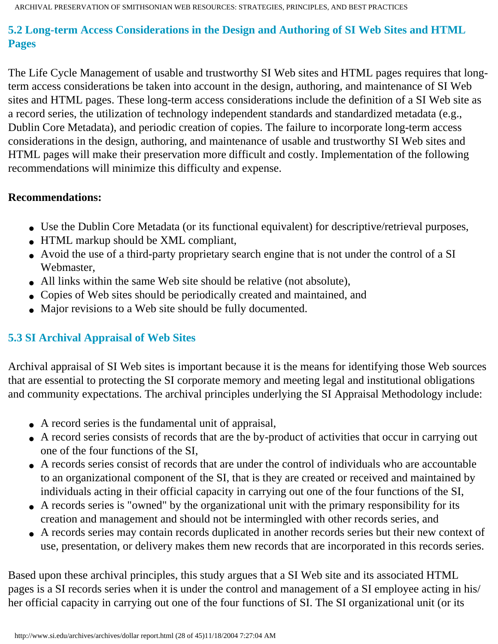## **5.2 Long-term Access Considerations in the Design and Authoring of SI Web Sites and HTML Pages**

The Life Cycle Management of usable and trustworthy SI Web sites and HTML pages requires that longterm access considerations be taken into account in the design, authoring, and maintenance of SI Web sites and HTML pages. These long-term access considerations include the definition of a SI Web site as a record series, the utilization of technology independent standards and standardized metadata (e.g., Dublin Core Metadata), and periodic creation of copies. The failure to incorporate long-term access considerations in the design, authoring, and maintenance of usable and trustworthy SI Web sites and HTML pages will make their preservation more difficult and costly. Implementation of the following recommendations will minimize this difficulty and expense.

#### **Recommendations:**

- Use the Dublin Core Metadata (or its functional equivalent) for descriptive/retrieval purposes,
- HTML markup should be XML compliant,
- Avoid the use of a third-party proprietary search engine that is not under the control of a SI Webmaster,
- All links within the same Web site should be relative (not absolute),
- Copies of Web sites should be periodically created and maintained, and
- Major revisions to a Web site should be fully documented.

## <span id="page-27-0"></span>**5.3 SI Archival Appraisal of Web Sites**

Archival appraisal of SI Web sites is important because it is the means for identifying those Web sources that are essential to protecting the SI corporate memory and meeting legal and institutional obligations and community expectations. The archival principles underlying the SI Appraisal Methodology include:

- A record series is the fundamental unit of appraisal,
- A record series consists of records that are the by-product of activities that occur in carrying out one of the four functions of the SI,
- A records series consist of records that are under the control of individuals who are accountable to an organizational component of the SI, that is they are created or received and maintained by individuals acting in their official capacity in carrying out one of the four functions of the SI,
- A records series is "owned" by the organizational unit with the primary responsibility for its creation and management and should not be intermingled with other records series, and
- A records series may contain records duplicated in another records series but their new context of use, presentation, or delivery makes them new records that are incorporated in this records series.

Based upon these archival principles, this study argues that a SI Web site and its associated HTML pages is a SI records series when it is under the control and management of a SI employee acting in his/ her official capacity in carrying out one of the four functions of SI. The SI organizational unit (or its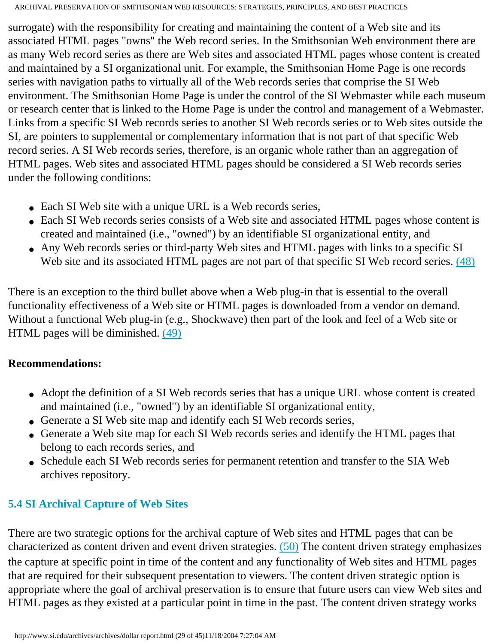surrogate) with the responsibility for creating and maintaining the content of a Web site and its associated HTML pages "owns" the Web record series. In the Smithsonian Web environment there are as many Web record series as there are Web sites and associated HTML pages whose content is created and maintained by a SI organizational unit. For example, the Smithsonian Home Page is one records series with navigation paths to virtually all of the Web records series that comprise the SI Web environment. The Smithsonian Home Page is under the control of the SI Webmaster while each museum or research center that is linked to the Home Page is under the control and management of a Webmaster. Links from a specific SI Web records series to another SI Web records series or to Web sites outside the SI, are pointers to supplemental or complementary information that is not part of that specific Web record series. A SI Web records series, therefore, is an organic whole rather than an aggregation of HTML pages. Web sites and associated HTML pages should be considered a SI Web records series under the following conditions:

- Each SI Web site with a unique URL is a Web records series,
- Each SI Web records series consists of a Web site and associated HTML pages whose content is created and maintained (i.e., "owned") by an identifiable SI organizational entity, and
- <span id="page-28-0"></span>• Any Web records series or third-party Web sites and HTML pages with links to a specific SI Web site and its associated HTML pages are not part of that specific SI Web record series. [\(48\)](#page-50-0)

There is an exception to the third bullet above when a Web plug-in that is essential to the overall functionality effectiveness of a Web site or HTML pages is downloaded from a vendor on demand. Without a functional Web plug-in (e.g., Shockwave) then part of the look and feel of a Web site or HTML pages will be diminished. [\(49\)](#page-50-1)

## **Recommendations:**

- Adopt the definition of a SI Web records series that has a unique URL whose content is created and maintained (i.e., "owned") by an identifiable SI organizational entity,
- Generate a SI Web site map and identify each SI Web records series,
- Generate a Web site map for each SI Web records series and identify the HTML pages that belong to each records series, and
- Schedule each SI Web records series for permanent retention and transfer to the SIA Web archives repository.

## <span id="page-28-1"></span>**5.4 SI Archival Capture of Web Sites**

There are two strategic options for the archival capture of Web sites and HTML pages that can be characterized as content driven and event driven strategies. [\(50\)](#page-50-2) The content driven strategy emphasizes the capture at specific point in time of the content and any functionality of Web sites and HTML pages that are required for their subsequent presentation to viewers. The content driven strategic option is appropriate where the goal of archival preservation is to ensure that future users can view Web sites and HTML pages as they existed at a particular point in time in the past. The content driven strategy works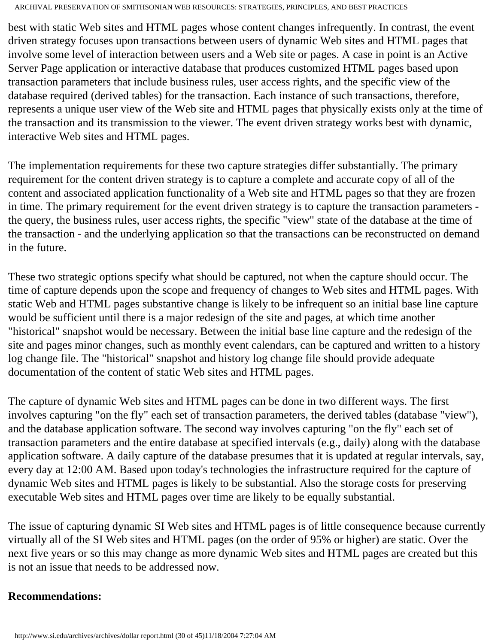best with static Web sites and HTML pages whose content changes infrequently. In contrast, the event driven strategy focuses upon transactions between users of dynamic Web sites and HTML pages that involve some level of interaction between users and a Web site or pages. A case in point is an Active Server Page application or interactive database that produces customized HTML pages based upon transaction parameters that include business rules, user access rights, and the specific view of the database required (derived tables) for the transaction. Each instance of such transactions, therefore, represents a unique user view of the Web site and HTML pages that physically exists only at the time of the transaction and its transmission to the viewer. The event driven strategy works best with dynamic, interactive Web sites and HTML pages.

The implementation requirements for these two capture strategies differ substantially. The primary requirement for the content driven strategy is to capture a complete and accurate copy of all of the content and associated application functionality of a Web site and HTML pages so that they are frozen in time. The primary requirement for the event driven strategy is to capture the transaction parameters the query, the business rules, user access rights, the specific "view" state of the database at the time of the transaction - and the underlying application so that the transactions can be reconstructed on demand in the future.

These two strategic options specify what should be captured, not when the capture should occur. The time of capture depends upon the scope and frequency of changes to Web sites and HTML pages. With static Web and HTML pages substantive change is likely to be infrequent so an initial base line capture would be sufficient until there is a major redesign of the site and pages, at which time another "historical" snapshot would be necessary. Between the initial base line capture and the redesign of the site and pages minor changes, such as monthly event calendars, can be captured and written to a history log change file. The "historical" snapshot and history log change file should provide adequate documentation of the content of static Web sites and HTML pages.

The capture of dynamic Web sites and HTML pages can be done in two different ways. The first involves capturing "on the fly" each set of transaction parameters, the derived tables (database "view"), and the database application software. The second way involves capturing "on the fly" each set of transaction parameters and the entire database at specified intervals (e.g., daily) along with the database application software. A daily capture of the database presumes that it is updated at regular intervals, say, every day at 12:00 AM. Based upon today's technologies the infrastructure required for the capture of dynamic Web sites and HTML pages is likely to be substantial. Also the storage costs for preserving executable Web sites and HTML pages over time are likely to be equally substantial.

The issue of capturing dynamic SI Web sites and HTML pages is of little consequence because currently virtually all of the SI Web sites and HTML pages (on the order of 95% or higher) are static. Over the next five years or so this may change as more dynamic Web sites and HTML pages are created but this is not an issue that needs to be addressed now.

#### **Recommendations:**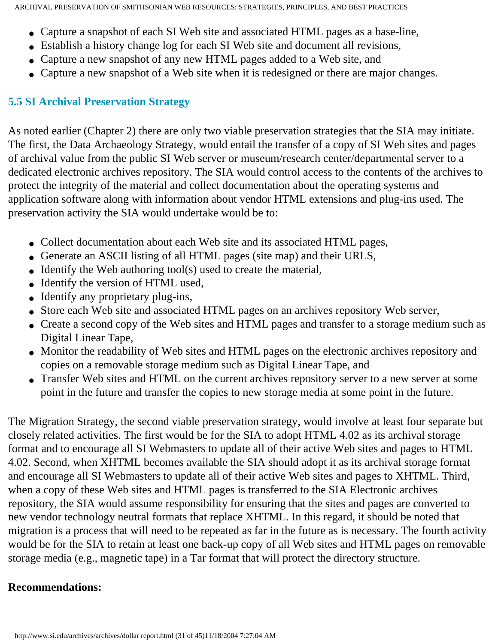- Capture a snapshot of each SI Web site and associated HTML pages as a base-line,
- Establish a history change log for each SI Web site and document all revisions,
- Capture a new snapshot of any new HTML pages added to a Web site, and
- Capture a new snapshot of a Web site when it is redesigned or there are major changes.

#### **5.5 SI Archival Preservation Strategy**

As noted earlier (Chapter 2) there are only two viable preservation strategies that the SIA may initiate. The first, the Data Archaeology Strategy, would entail the transfer of a copy of SI Web sites and pages of archival value from the public SI Web server or museum/research center/departmental server to a dedicated electronic archives repository. The SIA would control access to the contents of the archives to protect the integrity of the material and collect documentation about the operating systems and application software along with information about vendor HTML extensions and plug-ins used. The preservation activity the SIA would undertake would be to:

- Collect documentation about each Web site and its associated HTML pages,
- Generate an ASCII listing of all HTML pages (site map) and their URLS,
- $\bullet$  Identify the Web authoring tool(s) used to create the material,
- Identify the version of HTML used,
- Identify any proprietary plug-ins,
- Store each Web site and associated HTML pages on an archives repository Web server,
- Create a second copy of the Web sites and HTML pages and transfer to a storage medium such as Digital Linear Tape,
- Monitor the readability of Web sites and HTML pages on the electronic archives repository and copies on a removable storage medium such as Digital Linear Tape, and
- Transfer Web sites and HTML on the current archives repository server to a new server at some point in the future and transfer the copies to new storage media at some point in the future.

The Migration Strategy, the second viable preservation strategy, would involve at least four separate but closely related activities. The first would be for the SIA to adopt HTML 4.02 as its archival storage format and to encourage all SI Webmasters to update all of their active Web sites and pages to HTML 4.02. Second, when XHTML becomes available the SIA should adopt it as its archival storage format and encourage all SI Webmasters to update all of their active Web sites and pages to XHTML. Third, when a copy of these Web sites and HTML pages is transferred to the SIA Electronic archives repository, the SIA would assume responsibility for ensuring that the sites and pages are converted to new vendor technology neutral formats that replace XHTML. In this regard, it should be noted that migration is a process that will need to be repeated as far in the future as is necessary. The fourth activity would be for the SIA to retain at least one back-up copy of all Web sites and HTML pages on removable storage media (e.g., magnetic tape) in a Tar format that will protect the directory structure.

#### **Recommendations:**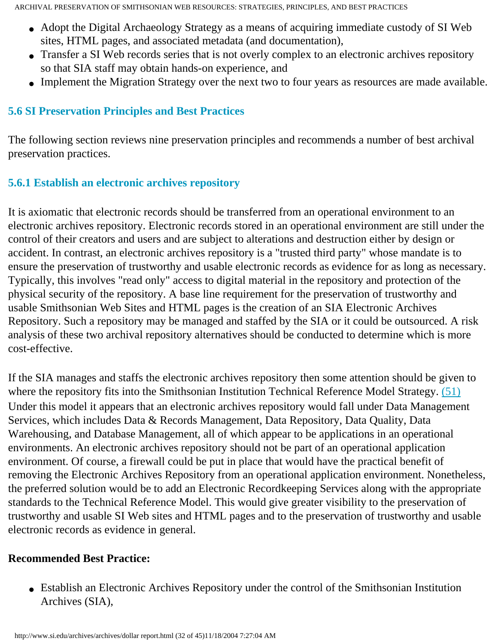- Adopt the Digital Archaeology Strategy as a means of acquiring immediate custody of SI Web sites, HTML pages, and associated metadata (and documentation),
- Transfer a SI Web records series that is not overly complex to an electronic archives repository so that SIA staff may obtain hands-on experience, and
- Implement the Migration Strategy over the next two to four years as resources are made available.

## <span id="page-31-0"></span>**5.6 SI Preservation Principles and Best Practices**

The following section reviews nine preservation principles and recommends a number of best archival preservation practices.

## **5.6.1 Establish an electronic archives repository**

It is axiomatic that electronic records should be transferred from an operational environment to an electronic archives repository. Electronic records stored in an operational environment are still under the control of their creators and users and are subject to alterations and destruction either by design or accident. In contrast, an electronic archives repository is a "trusted third party" whose mandate is to ensure the preservation of trustworthy and usable electronic records as evidence for as long as necessary. Typically, this involves "read only" access to digital material in the repository and protection of the physical security of the repository. A base line requirement for the preservation of trustworthy and usable Smithsonian Web Sites and HTML pages is the creation of an SIA Electronic Archives Repository. Such a repository may be managed and staffed by the SIA or it could be outsourced. A risk analysis of these two archival repository alternatives should be conducted to determine which is more cost-effective.

<span id="page-31-1"></span>If the SIA manages and staffs the electronic archives repository then some attention should be given to where the repository fits into the Smithsonian Institution Technical Reference Model Strategy. [\(51\)](#page-50-3) Under this model it appears that an electronic archives repository would fall under Data Management Services, which includes Data & Records Management, Data Repository, Data Quality, Data Warehousing, and Database Management, all of which appear to be applications in an operational environments. An electronic archives repository should not be part of an operational application environment. Of course, a firewall could be put in place that would have the practical benefit of removing the Electronic Archives Repository from an operational application environment. Nonetheless, the preferred solution would be to add an Electronic Recordkeeping Services along with the appropriate standards to the Technical Reference Model. This would give greater visibility to the preservation of trustworthy and usable SI Web sites and HTML pages and to the preservation of trustworthy and usable electronic records as evidence in general.

## **Recommended Best Practice:**

• Establish an Electronic Archives Repository under the control of the Smithsonian Institution Archives (SIA),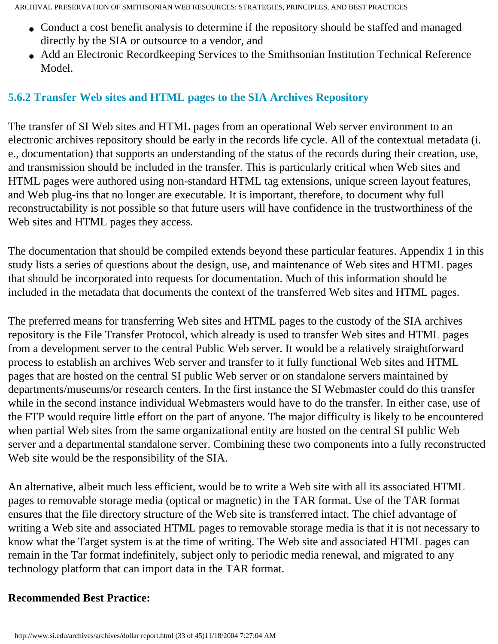- Conduct a cost benefit analysis to determine if the repository should be staffed and managed directly by the SIA or outsource to a vendor, and
- Add an Electronic Recordkeeping Services to the Smithsonian Institution Technical Reference Model.

#### **5.6.2 Transfer Web sites and HTML pages to the SIA Archives Repository**

The transfer of SI Web sites and HTML pages from an operational Web server environment to an electronic archives repository should be early in the records life cycle. All of the contextual metadata (i. e., documentation) that supports an understanding of the status of the records during their creation, use, and transmission should be included in the transfer. This is particularly critical when Web sites and HTML pages were authored using non-standard HTML tag extensions, unique screen layout features, and Web plug-ins that no longer are executable. It is important, therefore, to document why full reconstructability is not possible so that future users will have confidence in the trustworthiness of the Web sites and HTML pages they access.

The documentation that should be compiled extends beyond these particular features. Appendix 1 in this study lists a series of questions about the design, use, and maintenance of Web sites and HTML pages that should be incorporated into requests for documentation. Much of this information should be included in the metadata that documents the context of the transferred Web sites and HTML pages.

The preferred means for transferring Web sites and HTML pages to the custody of the SIA archives repository is the File Transfer Protocol, which already is used to transfer Web sites and HTML pages from a development server to the central Public Web server. It would be a relatively straightforward process to establish an archives Web server and transfer to it fully functional Web sites and HTML pages that are hosted on the central SI public Web server or on standalone servers maintained by departments/museums/or research centers. In the first instance the SI Webmaster could do this transfer while in the second instance individual Webmasters would have to do the transfer. In either case, use of the FTP would require little effort on the part of anyone. The major difficulty is likely to be encountered when partial Web sites from the same organizational entity are hosted on the central SI public Web server and a departmental standalone server. Combining these two components into a fully reconstructed Web site would be the responsibility of the SIA.

An alternative, albeit much less efficient, would be to write a Web site with all its associated HTML pages to removable storage media (optical or magnetic) in the TAR format. Use of the TAR format ensures that the file directory structure of the Web site is transferred intact. The chief advantage of writing a Web site and associated HTML pages to removable storage media is that it is not necessary to know what the Target system is at the time of writing. The Web site and associated HTML pages can remain in the Tar format indefinitely, subject only to periodic media renewal, and migrated to any technology platform that can import data in the TAR format.

#### **Recommended Best Practice:**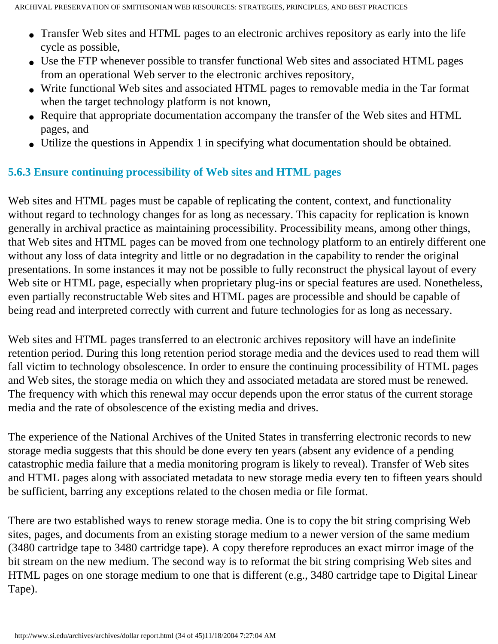- Transfer Web sites and HTML pages to an electronic archives repository as early into the life cycle as possible,
- Use the FTP whenever possible to transfer functional Web sites and associated HTML pages from an operational Web server to the electronic archives repository,
- Write functional Web sites and associated HTML pages to removable media in the Tar format when the target technology platform is not known,
- Require that appropriate documentation accompany the transfer of the Web sites and HTML pages, and
- Utilize the questions in Appendix 1 in specifying what documentation should be obtained.

## **5.6.3 Ensure continuing processibility of Web sites and HTML pages**

Web sites and HTML pages must be capable of replicating the content, context, and functionality without regard to technology changes for as long as necessary. This capacity for replication is known generally in archival practice as maintaining processibility. Processibility means, among other things, that Web sites and HTML pages can be moved from one technology platform to an entirely different one without any loss of data integrity and little or no degradation in the capability to render the original presentations. In some instances it may not be possible to fully reconstruct the physical layout of every Web site or HTML page, especially when proprietary plug-ins or special features are used. Nonetheless, even partially reconstructable Web sites and HTML pages are processible and should be capable of being read and interpreted correctly with current and future technologies for as long as necessary.

Web sites and HTML pages transferred to an electronic archives repository will have an indefinite retention period. During this long retention period storage media and the devices used to read them will fall victim to technology obsolescence. In order to ensure the continuing processibility of HTML pages and Web sites, the storage media on which they and associated metadata are stored must be renewed. The frequency with which this renewal may occur depends upon the error status of the current storage media and the rate of obsolescence of the existing media and drives.

The experience of the National Archives of the United States in transferring electronic records to new storage media suggests that this should be done every ten years (absent any evidence of a pending catastrophic media failure that a media monitoring program is likely to reveal). Transfer of Web sites and HTML pages along with associated metadata to new storage media every ten to fifteen years should be sufficient, barring any exceptions related to the chosen media or file format.

There are two established ways to renew storage media. One is to copy the bit string comprising Web sites, pages, and documents from an existing storage medium to a newer version of the same medium (3480 cartridge tape to 3480 cartridge tape). A copy therefore reproduces an exact mirror image of the bit stream on the new medium. The second way is to reformat the bit string comprising Web sites and HTML pages on one storage medium to one that is different (e.g., 3480 cartridge tape to Digital Linear Tape).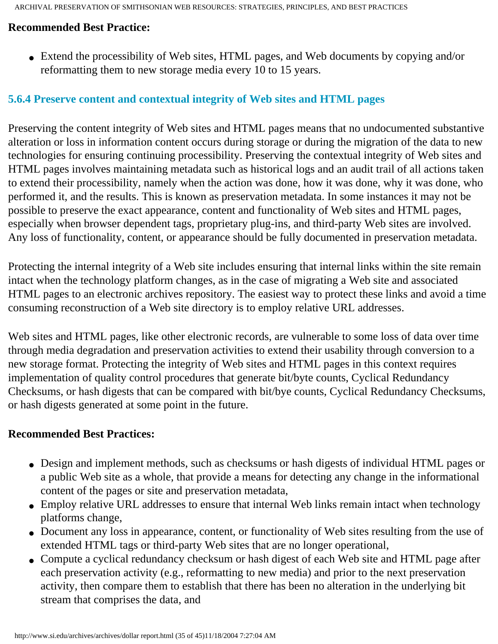#### **Recommended Best Practice:**

• Extend the processibility of Web sites, HTML pages, and Web documents by copying and/or reformatting them to new storage media every 10 to 15 years.

#### **5.6.4 Preserve content and contextual integrity of Web sites and HTML pages**

Preserving the content integrity of Web sites and HTML pages means that no undocumented substantive alteration or loss in information content occurs during storage or during the migration of the data to new technologies for ensuring continuing processibility. Preserving the contextual integrity of Web sites and HTML pages involves maintaining metadata such as historical logs and an audit trail of all actions taken to extend their processibility, namely when the action was done, how it was done, why it was done, who performed it, and the results. This is known as preservation metadata. In some instances it may not be possible to preserve the exact appearance, content and functionality of Web sites and HTML pages, especially when browser dependent tags, proprietary plug-ins, and third-party Web sites are involved. Any loss of functionality, content, or appearance should be fully documented in preservation metadata.

Protecting the internal integrity of a Web site includes ensuring that internal links within the site remain intact when the technology platform changes, as in the case of migrating a Web site and associated HTML pages to an electronic archives repository. The easiest way to protect these links and avoid a time consuming reconstruction of a Web site directory is to employ relative URL addresses.

Web sites and HTML pages, like other electronic records, are vulnerable to some loss of data over time through media degradation and preservation activities to extend their usability through conversion to a new storage format. Protecting the integrity of Web sites and HTML pages in this context requires implementation of quality control procedures that generate bit/byte counts, Cyclical Redundancy Checksums, or hash digests that can be compared with bit/bye counts, Cyclical Redundancy Checksums, or hash digests generated at some point in the future.

#### **Recommended Best Practices:**

- Design and implement methods, such as checksums or hash digests of individual HTML pages or a public Web site as a whole, that provide a means for detecting any change in the informational content of the pages or site and preservation metadata,
- Employ relative URL addresses to ensure that internal Web links remain intact when technology platforms change,
- Document any loss in appearance, content, or functionality of Web sites resulting from the use of extended HTML tags or third-party Web sites that are no longer operational,
- Compute a cyclical redundancy checksum or hash digest of each Web site and HTML page after each preservation activity (e.g., reformatting to new media) and prior to the next preservation activity, then compare them to establish that there has been no alteration in the underlying bit stream that comprises the data, and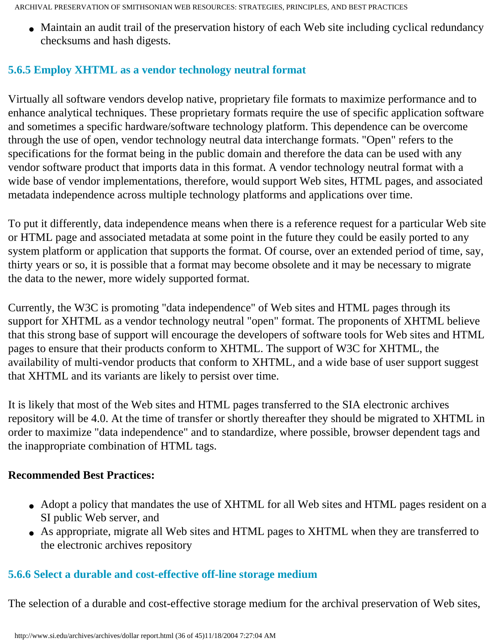• Maintain an audit trail of the preservation history of each Web site including cyclical redundancy checksums and hash digests.

## **5.6.5 Employ XHTML as a vendor technology neutral format**

Virtually all software vendors develop native, proprietary file formats to maximize performance and to enhance analytical techniques. These proprietary formats require the use of specific application software and sometimes a specific hardware/software technology platform. This dependence can be overcome through the use of open, vendor technology neutral data interchange formats. "Open" refers to the specifications for the format being in the public domain and therefore the data can be used with any vendor software product that imports data in this format. A vendor technology neutral format with a wide base of vendor implementations, therefore, would support Web sites, HTML pages, and associated metadata independence across multiple technology platforms and applications over time.

To put it differently, data independence means when there is a reference request for a particular Web site or HTML page and associated metadata at some point in the future they could be easily ported to any system platform or application that supports the format. Of course, over an extended period of time, say, thirty years or so, it is possible that a format may become obsolete and it may be necessary to migrate the data to the newer, more widely supported format.

Currently, the W3C is promoting "data independence" of Web sites and HTML pages through its support for XHTML as a vendor technology neutral "open" format. The proponents of XHTML believe that this strong base of support will encourage the developers of software tools for Web sites and HTML pages to ensure that their products conform to XHTML. The support of W3C for XHTML, the availability of multi-vendor products that conform to XHTML, and a wide base of user support suggest that XHTML and its variants are likely to persist over time.

It is likely that most of the Web sites and HTML pages transferred to the SIA electronic archives repository will be 4.0. At the time of transfer or shortly thereafter they should be migrated to XHTML in order to maximize "data independence" and to standardize, where possible, browser dependent tags and the inappropriate combination of HTML tags.

#### **Recommended Best Practices:**

- Adopt a policy that mandates the use of XHTML for all Web sites and HTML pages resident on a SI public Web server, and
- As appropriate, migrate all Web sites and HTML pages to XHTML when they are transferred to the electronic archives repository

#### **5.6.6 Select a durable and cost-effective off-line storage medium**

The selection of a durable and cost-effective storage medium for the archival preservation of Web sites,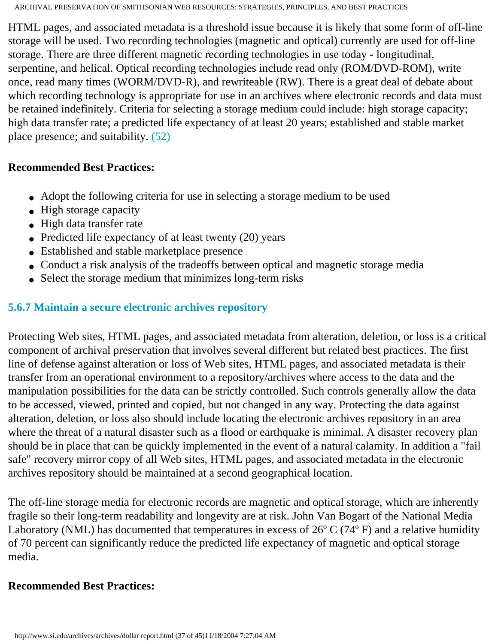HTML pages, and associated metadata is a threshold issue because it is likely that some form of off-line storage will be used. Two recording technologies (magnetic and optical) currently are used for off-line storage. There are three different magnetic recording technologies in use today - longitudinal, serpentine, and helical. Optical recording technologies include read only (ROM/DVD-ROM), write once, read many times (WORM/DVD-R), and rewriteable (RW). There is a great deal of debate about which recording technology is appropriate for use in an archives where electronic records and data must be retained indefinitely. Criteria for selecting a storage medium could include: high storage capacity; high data transfer rate; a predicted life expectancy of at least 20 years; established and stable market place presence; and suitability. [\(52\)](#page-50-4)

#### **Recommended Best Practices:**

- Adopt the following criteria for use in selecting a storage medium to be used
- High storage capacity
- High data transfer rate
- Predicted life expectancy of at least twenty  $(20)$  years
- Established and stable marketplace presence
- Conduct a risk analysis of the tradeoffs between optical and magnetic storage media
- Select the storage medium that minimizes long-term risks

### **5.6.7 Maintain a secure electronic archives repository**

Protecting Web sites, HTML pages, and associated metadata from alteration, deletion, or loss is a critical component of archival preservation that involves several different but related best practices. The first line of defense against alteration or loss of Web sites, HTML pages, and associated metadata is their transfer from an operational environment to a repository/archives where access to the data and the manipulation possibilities for the data can be strictly controlled. Such controls generally allow the data to be accessed, viewed, printed and copied, but not changed in any way. Protecting the data against alteration, deletion, or loss also should include locating the electronic archives repository in an area where the threat of a natural disaster such as a flood or earthquake is minimal. A disaster recovery plan should be in place that can be quickly implemented in the event of a natural calamity. In addition a "fail safe" recovery mirror copy of all Web sites, HTML pages, and associated metadata in the electronic archives repository should be maintained at a second geographical location.

The off-line storage media for electronic records are magnetic and optical storage, which are inherently fragile so their long-term readability and longevity are at risk. John Van Bogart of the National Media Laboratory (NML) has documented that temperatures in excess of 26º C (74º F) and a relative humidity of 70 percent can significantly reduce the predicted life expectancy of magnetic and optical storage media.

#### **Recommended Best Practices:**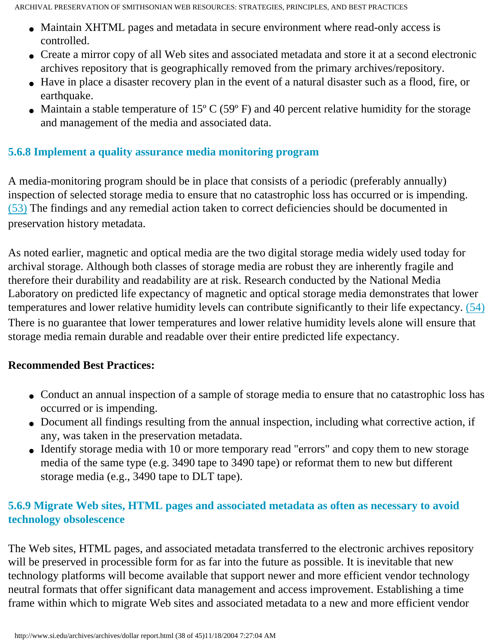- Maintain XHTML pages and metadata in secure environment where read-only access is controlled.
- Create a mirror copy of all Web sites and associated metadata and store it at a second electronic archives repository that is geographically removed from the primary archives/repository.
- Have in place a disaster recovery plan in the event of a natural disaster such as a flood, fire, or earthquake.
- Maintain a stable temperature of  $15^{\circ}$  C (59 $^{\circ}$  F) and 40 percent relative humidity for the storage and management of the media and associated data.

### **5.6.8 Implement a quality assurance media monitoring program**

A media-monitoring program should be in place that consists of a periodic (preferably annually) inspection of selected storage media to ensure that no catastrophic loss has occurred or is impending. [\(53\)](#page-50-5) The findings and any remedial action taken to correct deficiencies should be documented in preservation history metadata.

As noted earlier, magnetic and optical media are the two digital storage media widely used today for archival storage. Although both classes of storage media are robust they are inherently fragile and therefore their durability and readability are at risk. Research conducted by the National Media Laboratory on predicted life expectancy of magnetic and optical storage media demonstrates that lower temperatures and lower relative humidity levels can contribute significantly to their life expectancy. [\(54\)](#page-50-6) There is no guarantee that lower temperatures and lower relative humidity levels alone will ensure that storage media remain durable and readable over their entire predicted life expectancy.

#### **Recommended Best Practices:**

- Conduct an annual inspection of a sample of storage media to ensure that no catastrophic loss has occurred or is impending.
- Document all findings resulting from the annual inspection, including what corrective action, if any, was taken in the preservation metadata.
- Identify storage media with 10 or more temporary read "errors" and copy them to new storage media of the same type (e.g. 3490 tape to 3490 tape) or reformat them to new but different storage media (e.g., 3490 tape to DLT tape).

### **5.6.9 Migrate Web sites, HTML pages and associated metadata as often as necessary to avoid technology obsolescence**

The Web sites, HTML pages, and associated metadata transferred to the electronic archives repository will be preserved in processible form for as far into the future as possible. It is inevitable that new technology platforms will become available that support newer and more efficient vendor technology neutral formats that offer significant data management and access improvement. Establishing a time frame within which to migrate Web sites and associated metadata to a new and more efficient vendor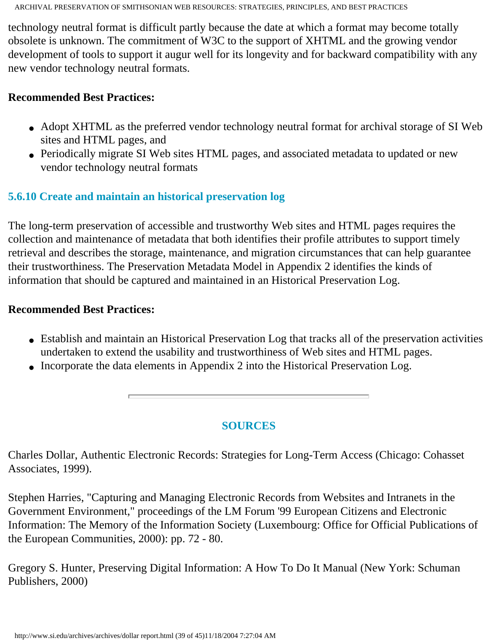technology neutral format is difficult partly because the date at which a format may become totally obsolete is unknown. The commitment of W3C to the support of XHTML and the growing vendor development of tools to support it augur well for its longevity and for backward compatibility with any new vendor technology neutral formats.

#### **Recommended Best Practices:**

- Adopt XHTML as the preferred vendor technology neutral format for archival storage of SI Web sites and HTML pages, and
- Periodically migrate SI Web sites HTML pages, and associated metadata to updated or new vendor technology neutral formats

## **5.6.10 Create and maintain an historical preservation log**

The long-term preservation of accessible and trustworthy Web sites and HTML pages requires the collection and maintenance of metadata that both identifies their profile attributes to support timely retrieval and describes the storage, maintenance, and migration circumstances that can help guarantee their trustworthiness. The Preservation Metadata Model in Appendix 2 identifies the kinds of information that should be captured and maintained in an Historical Preservation Log.

#### **Recommended Best Practices:**

- Establish and maintain an Historical Preservation Log that tracks all of the preservation activities undertaken to extend the usability and trustworthiness of Web sites and HTML pages.
- Incorporate the data elements in Appendix 2 into the Historical Preservation Log.

## **SOURCES**

Charles Dollar, Authentic Electronic Records: Strategies for Long-Term Access (Chicago: Cohasset Associates, 1999).

Stephen Harries, "Capturing and Managing Electronic Records from Websites and Intranets in the Government Environment," proceedings of the LM Forum '99 European Citizens and Electronic Information: The Memory of the Information Society (Luxembourg: Office for Official Publications of the European Communities, 2000): pp. 72 - 80.

<span id="page-38-0"></span>Gregory S. Hunter, Preserving Digital Information: A How To Do It Manual (New York: Schuman Publishers, 2000)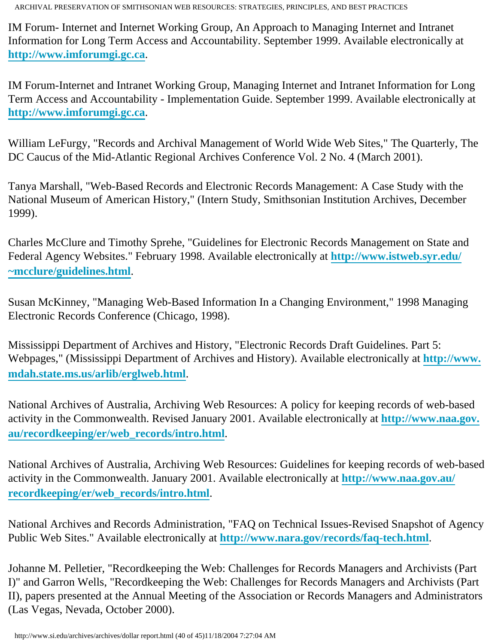IM Forum- Internet and Internet Working Group, An Approach to Managing Internet and Intranet Information for Long Term Access and Accountability. September 1999. Available electronically at **[http://www.imforumgi.gc.ca](http://www.imforumgi.gc.ca/)**.

IM Forum-Internet and Intranet Working Group, Managing Internet and Intranet Information for Long Term Access and Accountability - Implementation Guide. September 1999. Available electronically at **[http://www.imforumgi.gc.ca](http://www.imforumgi.gc.ca/)**.

William LeFurgy, "Records and Archival Management of World Wide Web Sites," The Quarterly, The DC Caucus of the Mid-Atlantic Regional Archives Conference Vol. 2 No. 4 (March 2001).

Tanya Marshall, "Web-Based Records and Electronic Records Management: A Case Study with the National Museum of American History," (Intern Study, Smithsonian Institution Archives, December 1999).

Charles McClure and Timothy Sprehe, "Guidelines for Electronic Records Management on State and Federal Agency Websites." February 1998. Available electronically at **[http://www.istweb.syr.edu/](http://www.istweb.syr.edu/~mcclure/guidelines.html) [~mcclure/guidelines.html](http://www.istweb.syr.edu/~mcclure/guidelines.html)**.

Susan McKinney, "Managing Web-Based Information In a Changing Environment," 1998 Managing Electronic Records Conference (Chicago, 1998).

Mississippi Department of Archives and History, "Electronic Records Draft Guidelines. Part 5: Webpages," (Mississippi Department of Archives and History). Available electronically at **[http://www.](http://www.mdah.state.ms.us/arlib/erglweb.html) [mdah.state.ms.us/arlib/erglweb.html](http://www.mdah.state.ms.us/arlib/erglweb.html)**.

National Archives of Australia, Archiving Web Resources: A policy for keeping records of web-based activity in the Commonwealth. Revised January 2001. Available electronically at **[http://www.naa.gov.](http://www.naa.gov.au/recordkeeping/er/web_records/intro.html) [au/recordkeeping/er/web\\_records/intro.html](http://www.naa.gov.au/recordkeeping/er/web_records/intro.html)**.

National Archives of Australia, Archiving Web Resources: Guidelines for keeping records of web-based activity in the Commonwealth. January 2001. Available electronically at **[http://www.naa.gov.au/](http://www.naa.gov.au/recordkeeping/er/web_records/intro.html) [recordkeeping/er/web\\_records/intro.html](http://www.naa.gov.au/recordkeeping/er/web_records/intro.html)**.

National Archives and Records Administration, "FAQ on Technical Issues-Revised Snapshot of Agency Public Web Sites." Available electronically at **<http://www.nara.gov/records/faq-tech.html>**.

Johanne M. Pelletier, "Recordkeeping the Web: Challenges for Records Managers and Archivists (Part I)" and Garron Wells, "Recordkeeping the Web: Challenges for Records Managers and Archivists (Part II), papers presented at the Annual Meeting of the Association or Records Managers and Administrators (Las Vegas, Nevada, October 2000).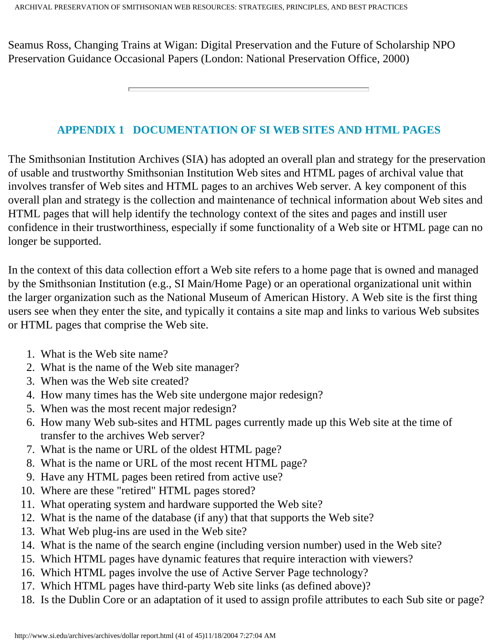Seamus Ross, Changing Trains at Wigan: Digital Preservation and the Future of Scholarship NPO Preservation Guidance Occasional Papers (London: National Preservation Office, 2000)

#### **APPENDIX 1 DOCUMENTATION OF SI WEB SITES AND HTML PAGES**

The Smithsonian Institution Archives (SIA) has adopted an overall plan and strategy for the preservation of usable and trustworthy Smithsonian Institution Web sites and HTML pages of archival value that involves transfer of Web sites and HTML pages to an archives Web server. A key component of this overall plan and strategy is the collection and maintenance of technical information about Web sites and HTML pages that will help identify the technology context of the sites and pages and instill user confidence in their trustworthiness, especially if some functionality of a Web site or HTML page can no longer be supported.

In the context of this data collection effort a Web site refers to a home page that is owned and managed by the Smithsonian Institution (e.g., SI Main/Home Page) or an operational organizational unit within the larger organization such as the National Museum of American History. A Web site is the first thing users see when they enter the site, and typically it contains a site map and links to various Web subsites or HTML pages that comprise the Web site.

- 1. What is the Web site name?
- 2. What is the name of the Web site manager?
- 3. When was the Web site created?
- 4. How many times has the Web site undergone major redesign?
- 5. When was the most recent major redesign?
- 6. How many Web sub-sites and HTML pages currently made up this Web site at the time of transfer to the archives Web server?
- 7. What is the name or URL of the oldest HTML page?
- 8. What is the name or URL of the most recent HTML page?
- 9. Have any HTML pages been retired from active use?
- 10. Where are these "retired" HTML pages stored?
- 11. What operating system and hardware supported the Web site?
- 12. What is the name of the database (if any) that that supports the Web site?
- 13. What Web plug-ins are used in the Web site?
- 14. What is the name of the search engine (including version number) used in the Web site?
- 15. Which HTML pages have dynamic features that require interaction with viewers?
- 16. Which HTML pages involve the use of Active Server Page technology?
- 17. Which HTML pages have third-party Web site links (as defined above)?
- 18. Is the Dublin Core or an adaptation of it used to assign profile attributes to each Sub site or page?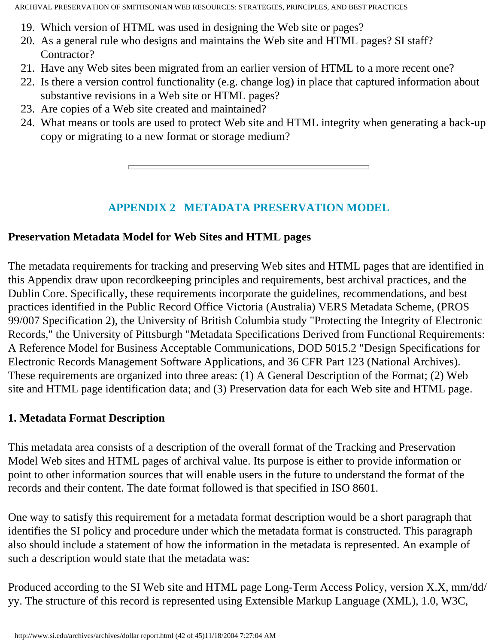- 19. Which version of HTML was used in designing the Web site or pages?
- 20. As a general rule who designs and maintains the Web site and HTML pages? SI staff? Contractor?
- 21. Have any Web sites been migrated from an earlier version of HTML to a more recent one?
- 22. Is there a version control functionality (e.g. change log) in place that captured information about substantive revisions in a Web site or HTML pages?
- 23. Are copies of a Web site created and maintained?
- 24. What means or tools are used to protect Web site and HTML integrity when generating a back-up copy or migrating to a new format or storage medium?

## **APPENDIX 2 METADATA PRESERVATION MODEL**

## <span id="page-41-0"></span>**Preservation Metadata Model for Web Sites and HTML pages**

The metadata requirements for tracking and preserving Web sites and HTML pages that are identified in this Appendix draw upon recordkeeping principles and requirements, best archival practices, and the Dublin Core. Specifically, these requirements incorporate the guidelines, recommendations, and best practices identified in the Public Record Office Victoria (Australia) VERS Metadata Scheme, (PROS 99/007 Specification 2), the University of British Columbia study "Protecting the Integrity of Electronic Records," the University of Pittsburgh "Metadata Specifications Derived from Functional Requirements: A Reference Model for Business Acceptable Communications, DOD 5015.2 "Design Specifications for Electronic Records Management Software Applications, and 36 CFR Part 123 (National Archives). These requirements are organized into three areas: (1) A General Description of the Format; (2) Web site and HTML page identification data; and (3) Preservation data for each Web site and HTML page.

#### **1. Metadata Format Description**

This metadata area consists of a description of the overall format of the Tracking and Preservation Model Web sites and HTML pages of archival value. Its purpose is either to provide information or point to other information sources that will enable users in the future to understand the format of the records and their content. The date format followed is that specified in ISO 8601.

One way to satisfy this requirement for a metadata format description would be a short paragraph that identifies the SI policy and procedure under which the metadata format is constructed. This paragraph also should include a statement of how the information in the metadata is represented. An example of such a description would state that the metadata was:

Produced according to the SI Web site and HTML page Long-Term Access Policy, version X.X, mm/dd/ yy. The structure of this record is represented using Extensible Markup Language (XML), 1.0, W3C,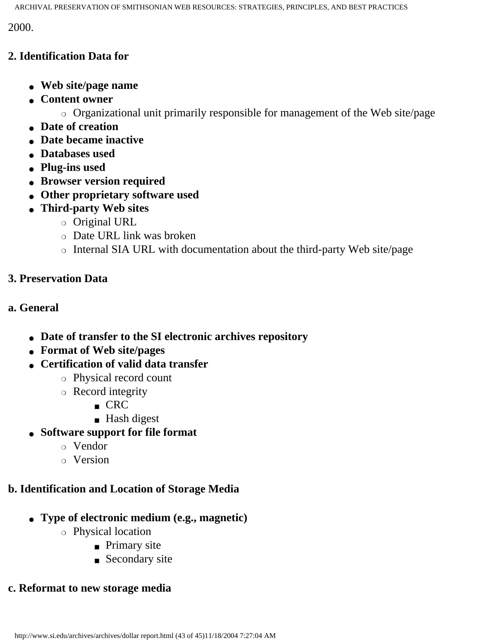2000.

#### **2. Identification Data for**

- **Web site/page name**
- **Content owner**
	- ❍ Organizational unit primarily responsible for management of the Web site/page
- **Date of creation**
- **Date became inactive**
- **Databases used**
- **Plug-ins used**
- **Browser version required**
- **Other proprietary software used**
- **Third-party Web sites**
	- ❍ Original URL
	- ❍ Date URL link was broken
	- ❍ Internal SIA URL with documentation about the third-party Web site/page

## **3. Preservation Data**

## **a. General**

- **Date of transfer to the SI electronic archives repository**
- **Format of Web site/pages**
- **Certification of valid data transfer**
	- ❍ Physical record count
	- ❍ Record integrity
		- CRC
		- Hash digest
- **Software support for file format**
	- ❍ Vendor
	- ❍ Version

## **b. Identification and Location of Storage Media**

- **Type of electronic medium (e.g., magnetic)**
	- ❍ Physical location
		- Primary site
		- Secondary site

## **c. Reformat to new storage media**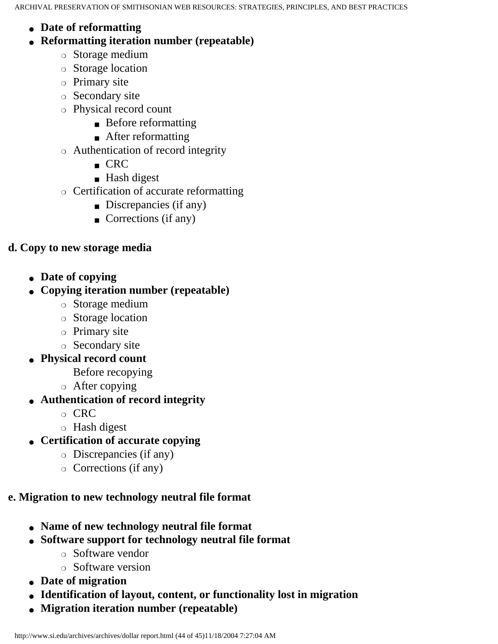- **Date of reformatting**
- **Reformatting iteration number (repeatable)**
	- ❍ Storage medium
	- ❍ Storage location
	- ❍ Primary site
	- ❍ Secondary site
	- ❍ Physical record count
		- Before reformatting
		- After reformatting
	- ❍ Authentication of record integrity
		- CRC
		- Hash digest
	- ❍ Certification of accurate reformatting
		- Discrepancies (if any)
		- Corrections (if any)

## **d. Copy to new storage media**

● **Date of copying**

## ● **Copying iteration number (repeatable)**

- ❍ Storage medium
- ❍ Storage location
- ❍ Primary site
- ❍ Secondary site
- **Physical record count**
	- Before recopying
	- ❍ After copying
- **Authentication of record integrity**
	- ❍ CRC
	- ❍ Hash digest
- **Certification of accurate copying**
	- ❍ Discrepancies (if any)
	- ❍ Corrections (if any)

## **e. Migration to new technology neutral file format**

- **Name of new technology neutral file format**
- **Software support for technology neutral file format**
	- ❍ Software vendor
	- ❍ Software version
- **Date of migration**
- **Identification of layout, content, or functionality lost in migration**
- **Migration iteration number (repeatable)**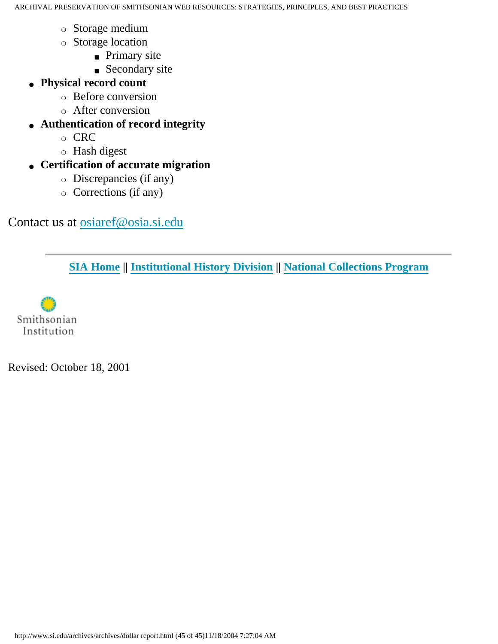- ❍ Storage medium
- ❍ Storage location
	- Primary site
	- Secondary site
- **Physical record count**
	- ❍ Before conversion
	- ❍ After conversion
- **Authentication of record integrity**
	- ❍ CRC
	- ❍ Hash digest
- **Certification of accurate migration**
	- ❍ Discrepancies (if any)
	- ❍ Corrections (if any)

## <span id="page-44-0"></span>Contact us at [osiaref@osia.si.edu](mailto:osiaref@osia.si.edu)

**[SIA Home](http://www.si.edu/archives/start.htm) || [Institutional History Division](http://www.si.edu/archives/ihd/ihdhome.htm) || [National Collections Program](http://www.si.edu/archives/NCP/ncphome.htm)**

Smithsonian Institution

Revised: October 18, 2001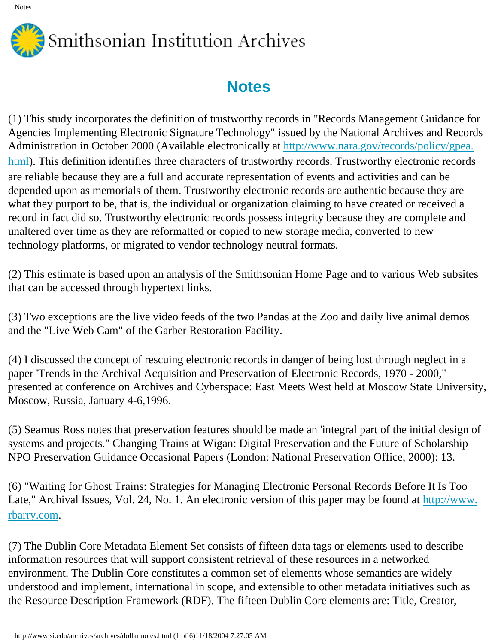

<span id="page-45-0"></span>(1) This study incorporates the definition of trustworthy records in "Records Management Guidance for Agencies Implementing Electronic Signature Technology" issued by the National Archives and Records Administration in October 2000 (Available electronically at [http://www.nara.gov/records/policy/gpea.](http://www.nara.gov/records/policy/gpea.html) [html\)](http://www.nara.gov/records/policy/gpea.html). This definition identifies three characters of trustworthy records. Trustworthy electronic records are reliable because they are a full and accurate representation of events and activities and can be depended upon as memorials of them. Trustworthy electronic records are authentic because they are what they purport to be, that is, the individual or organization claiming to have created or received a record in fact did so. Trustworthy electronic records possess integrity because they are complete and unaltered over time as they are reformatted or copied to new storage media, converted to new technology platforms, or migrated to vendor technology neutral formats.

(2) This estimate is based upon an analysis of the Smithsonian Home Page and to various Web subsites that can be accessed through hypertext links.

<span id="page-45-1"></span>(3) Two exceptions are the live video feeds of the two Pandas at the Zoo and daily live animal demos and the "Live Web Cam" of the Garber Restoration Facility.

<span id="page-45-2"></span>(4) I discussed the concept of rescuing electronic records in danger of being lost through neglect in a paper 'Trends in the Archival Acquisition and Preservation of Electronic Records, 1970 - 2000," presented at conference on Archives and Cyberspace: East Meets West held at Moscow State University, Moscow, Russia, January 4-6,1996.

<span id="page-45-3"></span>(5) Seamus Ross notes that preservation features should be made an 'integral part of the initial design of systems and projects." Changing Trains at Wigan: Digital Preservation and the Future of Scholarship NPO Preservation Guidance Occasional Papers (London: National Preservation Office, 2000): 13.

<span id="page-45-4"></span>(6) "Waiting for Ghost Trains: Strategies for Managing Electronic Personal Records Before It Is Too Late," Archival Issues, Vol. 24, No. 1. An electronic version of this paper may be found at [http://www.](http://www.rbarry.com/) [rbarry.com.](http://www.rbarry.com/)

<span id="page-45-5"></span>(7) The Dublin Core Metadata Element Set consists of fifteen data tags or elements used to describe information resources that will support consistent retrieval of these resources in a networked environment. The Dublin Core constitutes a common set of elements whose semantics are widely understood and implement, international in scope, and extensible to other metadata initiatives such as the Resource Description Framework (RDF). The fifteen Dublin Core elements are: Title, Creator,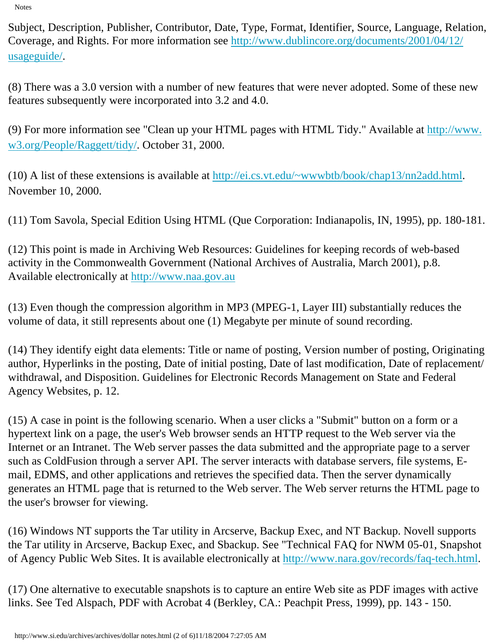Subject, Description, Publisher, Contributor, Date, Type, Format, Identifier, Source, Language, Relation, Coverage, and Rights. For more information see [http://www.dublincore.org/documents/2001/04/12/](http://www.dublincore.org/documents/2001/04/12/usageguide/) [usageguide/.](http://www.dublincore.org/documents/2001/04/12/usageguide/)

(8) There was a 3.0 version with a number of new features that were never adopted. Some of these new features subsequently were incorporated into 3.2 and 4.0.

<span id="page-46-0"></span>(9) For more information see "Clean up your HTML pages with HTML Tidy." Available at [http://www.](http://www.w3.org/People/Raggett/tidy/) [w3.org/People/Raggett/tidy/](http://www.w3.org/People/Raggett/tidy/). October 31, 2000.

<span id="page-46-1"></span>(10) A list of these extensions is available at [http://ei.cs.vt.edu/~wwwbtb/book/chap13/nn2add.html.](http://ei.cs.vt.edu/~wwwbtb/book/chap13/nn2add.html) November 10, 2000.

(11) Tom Savola, Special Edition Using HTML (Que Corporation: Indianapolis, IN, 1995), pp. 180-181.

<span id="page-46-2"></span>(12) This point is made in Archiving Web Resources: Guidelines for keeping records of web-based activity in the Commonwealth Government (National Archives of Australia, March 2001), p.8. Available electronically at [http://www.naa.gov.au](http://www.naa.gov.au/)

(13) Even though the compression algorithm in MP3 (MPEG-1, Layer III) substantially reduces the volume of data, it still represents about one (1) Megabyte per minute of sound recording.

<span id="page-46-3"></span>(14) They identify eight data elements: Title or name of posting, Version number of posting, Originating author, Hyperlinks in the posting, Date of initial posting, Date of last modification, Date of replacement/ withdrawal, and Disposition. Guidelines for Electronic Records Management on State and Federal Agency Websites, p. 12.

<span id="page-46-4"></span>(15) A case in point is the following scenario. When a user clicks a "Submit" button on a form or a hypertext link on a page, the user's Web browser sends an HTTP request to the Web server via the Internet or an Intranet. The Web server passes the data submitted and the appropriate page to a server such as ColdFusion through a server API. The server interacts with database servers, file systems, Email, EDMS, and other applications and retrieves the specified data. Then the server dynamically generates an HTML page that is returned to the Web server. The Web server returns the HTML page to the user's browser for viewing.

<span id="page-46-5"></span>(16) Windows NT supports the Tar utility in Arcserve, Backup Exec, and NT Backup. Novell supports the Tar utility in Arcserve, Backup Exec, and Sbackup. See "Technical FAQ for NWM 05-01, Snapshot of Agency Public Web Sites. It is available electronically at [http://www.nara.gov/records/faq-tech.html.](http://www.nara.gov/records/faq-tech.html)

(17) One alternative to executable snapshots is to capture an entire Web site as PDF images with active links. See Ted Alspach, PDF with Acrobat 4 (Berkley, CA.: Peachpit Press, 1999), pp. 143 - 150.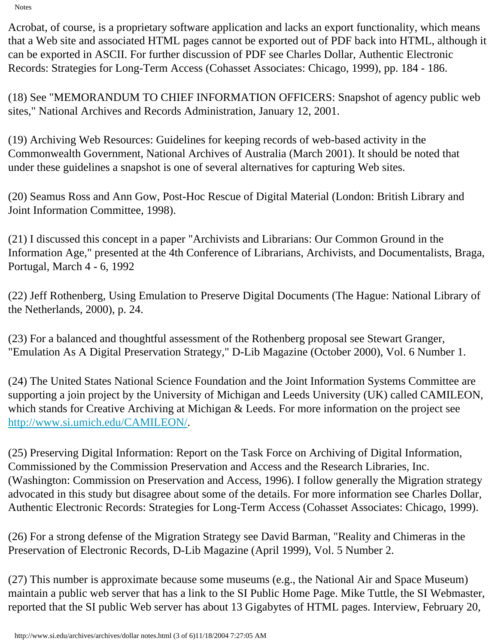Acrobat, of course, is a proprietary software application and lacks an export functionality, which means that a Web site and associated HTML pages cannot be exported out of PDF back into HTML, although it can be exported in ASCII. For further discussion of PDF see Charles Dollar, Authentic Electronic Records: Strategies for Long-Term Access (Cohasset Associates: Chicago, 1999), pp. 184 - 186.

<span id="page-47-0"></span>(18) See "MEMORANDUM TO CHIEF INFORMATION OFFICERS: Snapshot of agency public web sites," National Archives and Records Administration, January 12, 2001.

<span id="page-47-1"></span>(19) Archiving Web Resources: Guidelines for keeping records of web-based activity in the Commonwealth Government, National Archives of Australia (March 2001). It should be noted that under these guidelines a snapshot is one of several alternatives for capturing Web sites.

<span id="page-47-2"></span>(20) Seamus Ross and Ann Gow, Post-Hoc Rescue of Digital Material (London: British Library and Joint Information Committee, 1998).

<span id="page-47-3"></span>(21) I discussed this concept in a paper "Archivists and Librarians: Our Common Ground in the Information Age," presented at the 4th Conference of Librarians, Archivists, and Documentalists, Braga, Portugal, March 4 - 6, 1992

<span id="page-47-4"></span>(22) Jeff Rothenberg, Using Emulation to Preserve Digital Documents (The Hague: National Library of the Netherlands, 2000), p. 24.

<span id="page-47-5"></span>(23) For a balanced and thoughtful assessment of the Rothenberg proposal see Stewart Granger, "Emulation As A Digital Preservation Strategy," D-Lib Magazine (October 2000), Vol. 6 Number 1.

<span id="page-47-6"></span>(24) The United States National Science Foundation and the Joint Information Systems Committee are supporting a join project by the University of Michigan and Leeds University (UK) called CAMILEON, which stands for Creative Archiving at Michigan & Leeds. For more information on the project see <http://www.si.umich.edu/CAMILEON/>.

(25) Preserving Digital Information: Report on the Task Force on Archiving of Digital Information, Commissioned by the Commission Preservation and Access and the Research Libraries, Inc. (Washington: Commission on Preservation and Access, 1996). I follow generally the Migration strategy advocated in this study but disagree about some of the details. For more information see Charles Dollar, Authentic Electronic Records: Strategies for Long-Term Access (Cohasset Associates: Chicago, 1999).

<span id="page-47-7"></span>(26) For a strong defense of the Migration Strategy see David Barman, "Reality and Chimeras in the Preservation of Electronic Records, D-Lib Magazine (April 1999), Vol. 5 Number 2.

<span id="page-47-8"></span>(27) This number is approximate because some museums (e.g., the National Air and Space Museum) maintain a public web server that has a link to the SI Public Home Page. Mike Tuttle, the SI Webmaster, reported that the SI public Web server has about 13 Gigabytes of HTML pages. Interview, February 20,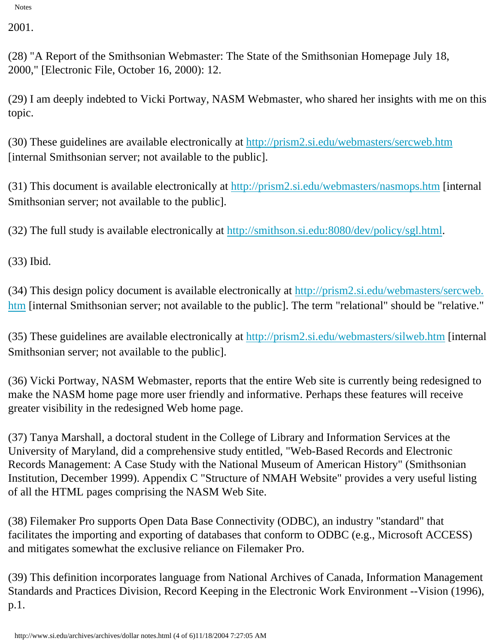2001.

<span id="page-48-0"></span>(28) "A Report of the Smithsonian Webmaster: The State of the Smithsonian Homepage July 18, 2000," [Electronic File, October 16, 2000): 12.

<span id="page-48-1"></span>(29) I am deeply indebted to Vicki Portway, NASM Webmaster, who shared her insights with me on this topic.

<span id="page-48-2"></span>(30) These guidelines are available electronically at <http://prism2.si.edu/webmasters/sercweb.htm> [internal Smithsonian server; not available to the public].

<span id="page-48-3"></span>(31) This document is available electronically at<http://prism2.si.edu/webmasters/nasmops.htm> [internal Smithsonian server; not available to the public].

<span id="page-48-4"></span>(32) The full study is available electronically at [http://smithson.si.edu:8080/dev/policy/sgl.html.](http://smithson.si.edu:8080/dev/policy/sgl.html)

(33) Ibid.

<span id="page-48-5"></span>(34) This design policy document is available electronically at [http://prism2.si.edu/webmasters/sercweb.](http://prism2.si.edu/webmasters/sercweb.htm) [htm](http://prism2.si.edu/webmasters/sercweb.htm) [internal Smithsonian server; not available to the public]. The term "relational" should be "relative."

<span id="page-48-6"></span>(35) These guidelines are available electronically at <http://prism2.si.edu/webmasters/silweb.htm> [internal Smithsonian server; not available to the public].

(36) Vicki Portway, NASM Webmaster, reports that the entire Web site is currently being redesigned to make the NASM home page more user friendly and informative. Perhaps these features will receive greater visibility in the redesigned Web home page.

<span id="page-48-7"></span>(37) Tanya Marshall, a doctoral student in the College of Library and Information Services at the University of Maryland, did a comprehensive study entitled, "Web-Based Records and Electronic Records Management: A Case Study with the National Museum of American History" (Smithsonian Institution, December 1999). Appendix C "Structure of NMAH Website" provides a very useful listing of all the HTML pages comprising the NASM Web Site.

<span id="page-48-8"></span>(38) Filemaker Pro supports Open Data Base Connectivity (ODBC), an industry "standard" that facilitates the importing and exporting of databases that conform to ODBC (e.g., Microsoft ACCESS) and mitigates somewhat the exclusive reliance on Filemaker Pro.

<span id="page-48-9"></span>(39) This definition incorporates language from National Archives of Canada, Information Management Standards and Practices Division, Record Keeping in the Electronic Work Environment --Vision (1996), p.1.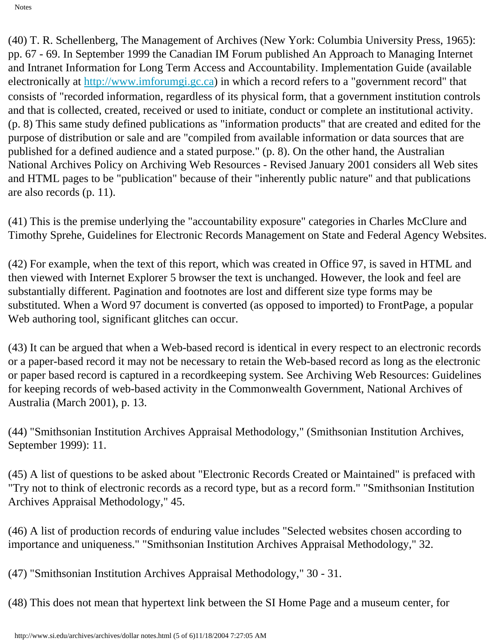<span id="page-49-0"></span>(40) T. R. Schellenberg, The Management of Archives (New York: Columbia University Press, 1965): pp. 67 - 69. In September 1999 the Canadian IM Forum published An Approach to Managing Internet and Intranet Information for Long Term Access and Accountability. Implementation Guide (available electronically at [http://www.imforumgi.gc.ca](http://www.imforumgi.gc.ca/)) in which a record refers to a "government record" that consists of "recorded information, regardless of its physical form, that a government institution controls and that is collected, created, received or used to initiate, conduct or complete an institutional activity. (p. 8) This same study defined publications as "information products" that are created and edited for the purpose of distribution or sale and are "compiled from available information or data sources that are published for a defined audience and a stated purpose." (p. 8). On the other hand, the Australian National Archives Policy on Archiving Web Resources - Revised January 2001 considers all Web sites and HTML pages to be "publication" because of their "inherently public nature" and that publications are also records (p. 11).

(41) This is the premise underlying the "accountability exposure" categories in Charles McClure and Timothy Sprehe, Guidelines for Electronic Records Management on State and Federal Agency Websites.

<span id="page-49-1"></span>(42) For example, when the text of this report, which was created in Office 97, is saved in HTML and then viewed with Internet Explorer 5 browser the text is unchanged. However, the look and feel are substantially different. Pagination and footnotes are lost and different size type forms may be substituted. When a Word 97 document is converted (as opposed to imported) to FrontPage, a popular Web authoring tool, significant glitches can occur.

<span id="page-49-2"></span>(43) It can be argued that when a Web-based record is identical in every respect to an electronic records or a paper-based record it may not be necessary to retain the Web-based record as long as the electronic or paper based record is captured in a recordkeeping system. See Archiving Web Resources: Guidelines for keeping records of web-based activity in the Commonwealth Government, National Archives of Australia (March 2001), p. 13.

<span id="page-49-3"></span>(44) "Smithsonian Institution Archives Appraisal Methodology," (Smithsonian Institution Archives, September 1999): 11.

<span id="page-49-4"></span>(45) A list of questions to be asked about "Electronic Records Created or Maintained" is prefaced with "Try not to think of electronic records as a record type, but as a record form." "Smithsonian Institution Archives Appraisal Methodology," 45.

<span id="page-49-5"></span>(46) A list of production records of enduring value includes "Selected websites chosen according to importance and uniqueness." "Smithsonian Institution Archives Appraisal Methodology," 32.

<span id="page-49-6"></span>(47) "Smithsonian Institution Archives Appraisal Methodology," 30 - 31.

<span id="page-49-7"></span>(48) This does not mean that hypertext link between the SI Home Page and a museum center, for